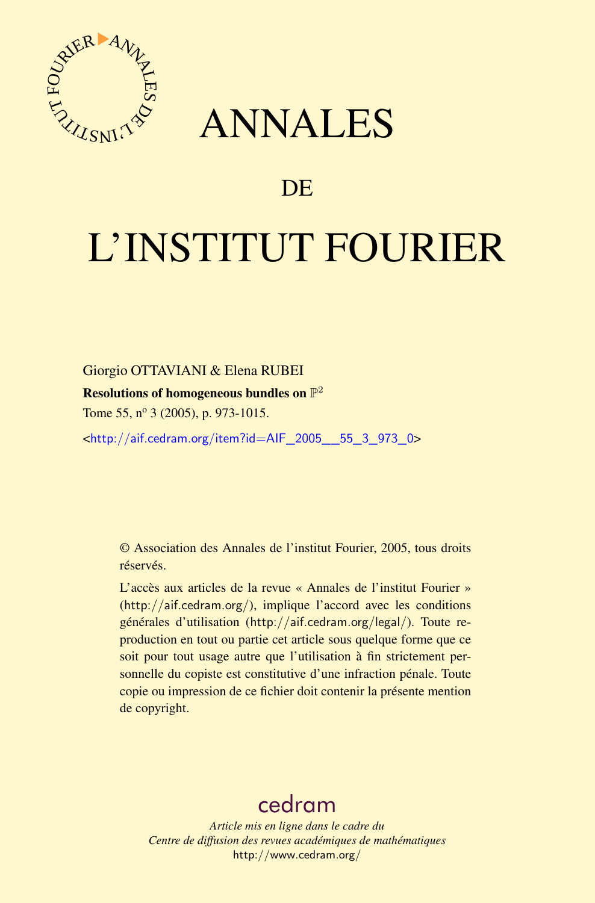



# DE

# L'INSTITUT FOURIER

Giorgio OTTAVIANI & Elena RUBEI

Resolutions of homogeneous bundles on  $\mathbb{P}^2$ 

Tome 55, nº 3 (2005), p. 973-1015.

<[http://aif.cedram.org/item?id=AIF\\_2005\\_\\_55\\_3\\_973\\_0](http://aif.cedram.org/item?id=AIF_2005__55_3_973_0)>

© Association des Annales de l'institut Fourier, 2005, tous droits réservés.

L'accès aux articles de la revue « Annales de l'institut Fourier » (<http://aif.cedram.org/>), implique l'accord avec les conditions générales d'utilisation (<http://aif.cedram.org/legal/>). Toute reproduction en tout ou partie cet article sous quelque forme que ce soit pour tout usage autre que l'utilisation à fin strictement personnelle du copiste est constitutive d'une infraction pénale. Toute copie ou impression de ce fichier doit contenir la présente mention de copyright.

# [cedram](http://www.cedram.org/)

*Article mis en ligne dans le cadre du Centre de diffusion des revues académiques de mathématiques* <http://www.cedram.org/>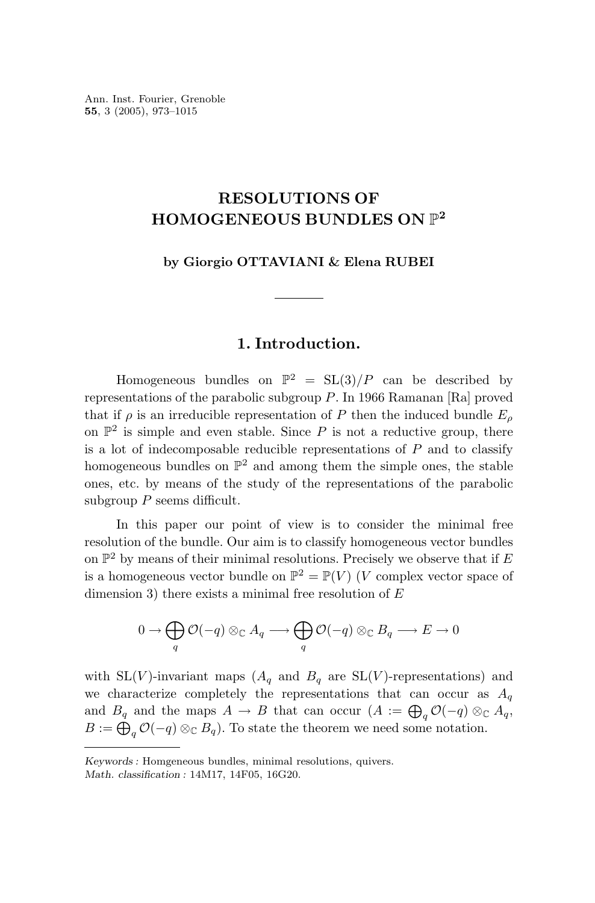Ann. Inst. Fourier, Grenoble **55**, 3 (2005), 973–1015

# **RESOLUTIONS OF HOMOGENEOUS BUNDLES ON** P**<sup>2</sup>**

**by Giorgio OTTAVIANI & Elena RUBEI**

# **1. Introduction.**

Homogeneous bundles on  $\mathbb{P}^2 = SL(3)/P$  can be described by representations of the parabolic subgroup *P*. In 1966 Ramanan [Ra] proved that if  $\rho$  is an irreducible representation of *P* then the induced bundle  $E_{\rho}$ on  $\mathbb{P}^2$  is simple and even stable. Since P is not a reductive group, there is a lot of indecomposable reducible representations of *P* and to classify homogeneous bundles on  $\mathbb{P}^2$  and among them the simple ones, the stable ones, etc. by means of the study of the representations of the parabolic subgroup *P* seems difficult.

In this paper our point of view is to consider the minimal free resolution of the bundle. Our aim is to classify homogeneous vector bundles on  $\mathbb{P}^2$  by means of their minimal resolutions. Precisely we observe that if  $E$ is a homogeneous vector bundle on  $\mathbb{P}^2 = \mathbb{P}(V)$  (*V* complex vector space of dimension 3) there exists a minimal free resolution of *E*

$$
0 \to \bigoplus_q \mathcal{O}(-q) \otimes_{\mathbb{C}} A_q \longrightarrow \bigoplus_q \mathcal{O}(-q) \otimes_{\mathbb{C}} B_q \longrightarrow E \to 0
$$

with  $SL(V)$ -invariant maps  $(A_q$  and  $B_q$  are  $SL(V)$ -representations) and we characterize completely the representations that can occur as  $A_q$ and  $B_q$  and the maps  $A \to B$  that can occur  $(A := \bigoplus_q \mathcal{O}(-q) \otimes_{\mathbb{C}} A_q$ ,  $B := \bigoplus_{q} \mathcal{O}(-q) \otimes_{\mathbb{C}} B_q$ . To state the theorem we need some notation.

*Keywords :* Homgeneous bundles, minimal resolutions, quivers. *Math. classification :* 14M17, 14F05, 16G20.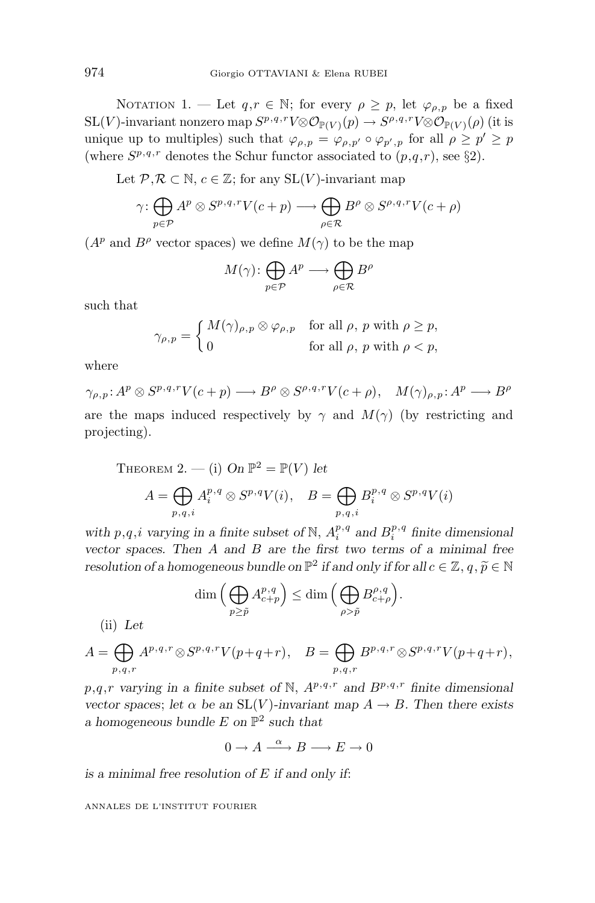NOTATION 1. — Let  $q, r \in \mathbb{N}$ ; for every  $\rho \geq p$ , let  $\varphi_{\rho, p}$  be a fixed  $SL(V)$ -invariant nonzero map  $S^{p,q,r}V \otimes \mathcal{O}_{\mathbb{P}(V)}(p) \to S^{p,q,r}V \otimes \mathcal{O}_{\mathbb{P}(V)}(\rho)$  (it is unique up to multiples) such that  $\varphi_{\rho,p} = \varphi_{\rho,p'} \circ \varphi_{p',p}$  for all  $\rho \geq p' \geq p$ (where  $S^{p,q,r}$  denotes the Schur functor associated to  $(p,q,r)$ , see §2).

Let  $\mathcal{P}, \mathcal{R} \subset \mathbb{N}, c \in \mathbb{Z}$ ; for any  $SL(V)$ -invariant map

$$
\gamma \colon \bigoplus_{p \in \mathcal{P}} A^p \otimes S^{p,q,r} V(c+p) \longrightarrow \bigoplus_{\rho \in \mathcal{R}} B^{\rho} \otimes S^{\rho,q,r} V(c+\rho)
$$

 $(A^p \text{ and } B^{\rho} \text{ vector spaces})$  we define  $M(\gamma)$  to be the map

$$
M(\gamma) \colon \bigoplus_{p \in \mathcal{P}} A^p \longrightarrow \bigoplus_{\rho \in \mathcal{R}} B^{\rho}
$$

such that

$$
\gamma_{\rho,p} = \begin{cases} M(\gamma)_{\rho,p} \otimes \varphi_{\rho,p} & \text{for all } \rho, \ p \text{ with } \rho \ge p, \\ 0 & \text{for all } \rho, \ p \text{ with } \rho < p, \end{cases}
$$

where

 $\gamma_{\rho,p}: A^p \otimes S^{p,q,r}V(c+p) \longrightarrow B^{\rho} \otimes S^{\rho,q,r}V(c+\rho), \quad M(\gamma)_{\rho,p}: A^p \longrightarrow B^{\rho}$ are the maps induced respectively by  $\gamma$  and  $M(\gamma)$  (by restricting and projecting).

THEOREM 2. — (i) On 
$$
\mathbb{P}^2 = \mathbb{P}(V)
$$
 let  
\n
$$
A = \bigoplus_{p,q,i} A_i^{p,q} \otimes S^{p,q} V(i), \quad B = \bigoplus_{p,q,i} B_i^{p,q} \otimes S^{p,q} V(i)
$$

*with*  $p, q, i$  *varying in a finite subset of* N,  $A_i^{p,q}$  *and*  $B_i^{p,q}$  *finite dimensional vector spaces. Then A and B are the first two terms of a minimal free resolution of a homogeneous bundle on*  $\mathbb{P}^2$  *if and only if for all*  $c \in \mathbb{Z}$ *, q,*  $\widetilde{p} \in \mathbb{N}$ 

$$
\dim\Big(\bigoplus_{p\geq \tilde{p}}A^{p,q}_{c+p}\Big)\leq \dim\Big(\bigoplus_{\rho>\tilde{p}}B^{p,q}_{c+\rho}\Big).
$$

(ii) *Let*

$$
A = \bigoplus_{p,q,r} A^{p,q,r} \otimes S^{p,q,r} V(p+q+r), \quad B = \bigoplus_{p,q,r} B^{p,q,r} \otimes S^{p,q,r} V(p+q+r),
$$

 $p,q,r$  *varying in a finite subset of* N,  $A^{p,q,r}$  *and*  $B^{p,q,r}$  *finite dimensional vector spaces*; *let*  $\alpha$  *be an* SL(*V*)*-invariant map*  $A \rightarrow B$ *. Then there exists a homogeneous bundle E on* P<sup>2</sup> *such that*

 $0 \to A \xrightarrow{\alpha} B \longrightarrow E \to 0$ 

*is a minimal free resolution of E if and only if*: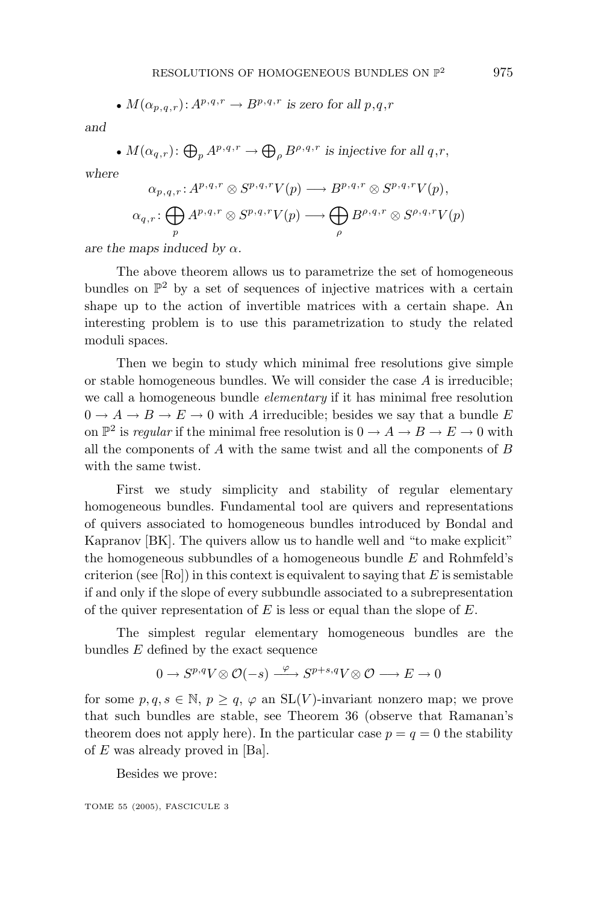• 
$$
M(\alpha_{p,q,r}): A^{p,q,r} \to B^{p,q,r}
$$
 is zero for all  $p,q,r$ 

*and*

• 
$$
M(\alpha_{q,r})
$$
:  $\bigoplus_{p} A^{p,q,r} \to \bigoplus_{\rho} B^{\rho,q,r}$  is injective for all  $q,r$ ,

*where*

$$
\alpha_{p,q,r}: A^{p,q,r} \otimes S^{p,q,r}V(p) \longrightarrow B^{p,q,r} \otimes S^{p,q,r}V(p),
$$
  

$$
\alpha_{q,r}: \bigoplus_{p} A^{p,q,r} \otimes S^{p,q,r}V(p) \longrightarrow \bigoplus_{\rho} B^{\rho,q,r} \otimes S^{\rho,q,r}V(p)
$$

*are the maps induced by*  $\alpha$ *.* 

The above theorem allows us to parametrize the set of homogeneous bundles on  $\mathbb{P}^2$  by a set of sequences of injective matrices with a certain shape up to the action of invertible matrices with a certain shape. An interesting problem is to use this parametrization to study the related moduli spaces.

Then we begin to study which minimal free resolutions give simple or stable homogeneous bundles. We will consider the case *A* is irreducible; we call a homogeneous bundle elementary if it has minimal free resolution  $0 \rightarrow A \rightarrow B \rightarrow E \rightarrow 0$  with *A* irreducible; besides we say that a bundle *E* on  $\mathbb{P}^2$  is *regular* if the minimal free resolution is  $0 \to A \to B \to E \to 0$  with all the components of *A* with the same twist and all the components of *B* with the same twist.

First we study simplicity and stability of regular elementary homogeneous bundles. Fundamental tool are quivers and representations of quivers associated to homogeneous bundles introduced by Bondal and Kapranov [BK]. The quivers allow us to handle well and "to make explicit" the homogeneous subbundles of a homogeneous bundle *E* and Rohmfeld's criterion (see [Ro]) in this context is equivalent to saying that *E* is semistable if and only if the slope of every subbundle associated to a subrepresentation of the quiver representation of *E* is less or equal than the slope of *E*.

The simplest regular elementary homogeneous bundles are the bundles *E* defined by the exact sequence

$$
0 \to S^{p,q}V \otimes \mathcal{O}(-s) \xrightarrow{\varphi} S^{p+s,q}V \otimes \mathcal{O} \longrightarrow E \longrightarrow 0
$$

for some  $p, q, s \in \mathbb{N}, p > q, \varphi$  an  $SL(V)$ -invariant nonzero map; we prove that such bundles are stable, see Theorem 36(observe that Ramanan's theorem does not apply here). In the particular case  $p = q = 0$  the stability of *E* was already proved in [Ba].

Besides we prove: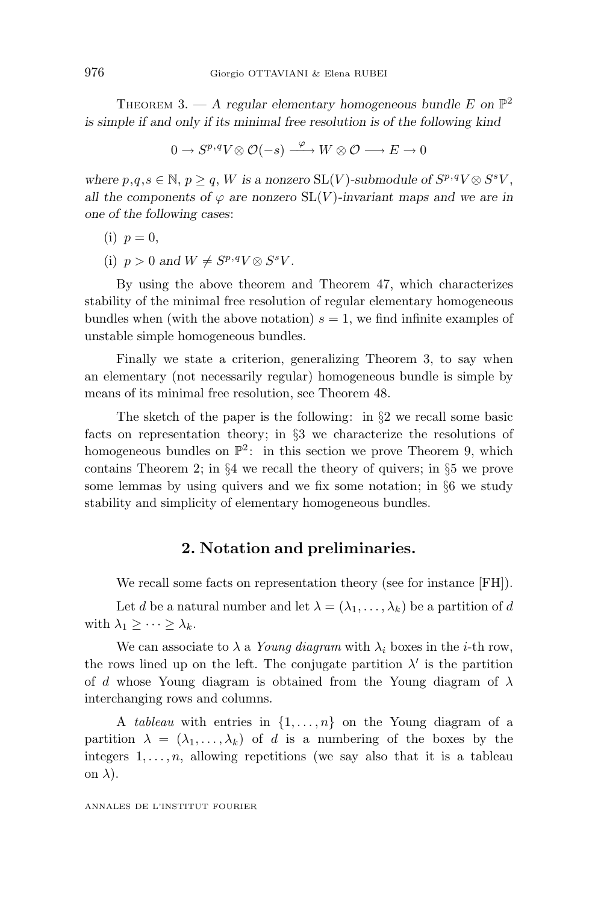THEOREM 3. — A regular elementary homogeneous bundle  $E$  on  $\mathbb{P}^2$ *is simple if and only if its minimal free resolution is of the following kind*

$$
0 \to S^{p,q}V \otimes \mathcal{O}(-s) \xrightarrow{\varphi} W \otimes \mathcal{O} \longrightarrow E \longrightarrow 0
$$

*where*  $p, q, s \in \mathbb{N}, p > q$ , *W is a nonzero*  $SL(V)$ *-submodule of*  $S^{p,q}V \otimes S^{s}V$ , *all the components of*  $\varphi$  *are nonzero* SL(*V*)*-invariant maps and we are in one of the following cases*:

$$
(i) p = 0,
$$

(i)  $p > 0$  and  $W \neq S^{p,q}V \otimes S^{s}V$ .

By using the above theorem and Theorem 47, which characterizes stability of the minimal free resolution of regular elementary homogeneous bundles when (with the above notation)  $s = 1$ , we find infinite examples of unstable simple homogeneous bundles.

Finally we state a criterion, generalizing Theorem 3, to say when an elementary (not necessarily regular) homogeneous bundle is simple by means of its minimal free resolution, see Theorem 48.

The sketch of the paper is the following: in §2 we recall some basic facts on representation theory; in §3 we characterize the resolutions of homogeneous bundles on  $\mathbb{P}^2$ : in this section we prove Theorem 9, which contains Theorem 2; in §4 we recall the theory of quivers; in §5 we prove some lemmas by using quivers and we fix some notation; in  $\S6$  we study stability and simplicity of elementary homogeneous bundles.

#### **2. Notation and preliminaries.**

We recall some facts on representation theory (see for instance [FH]).

Let *d* be a natural number and let  $\lambda = (\lambda_1, \ldots, \lambda_k)$  be a partition of *d* with  $\lambda_1 \geq \cdots \geq \lambda_k$ .

We can associate to  $\lambda$  a Young diagram with  $\lambda_i$  boxes in the *i*-th row, the rows lined up on the left. The conjugate partition  $\lambda'$  is the partition of *d* whose Young diagram is obtained from the Young diagram of *λ* interchanging rows and columns.

A tableau with entries in {1*,...,n*} on the Young diagram of a partition  $\lambda = (\lambda_1, \ldots, \lambda_k)$  of *d* is a numbering of the boxes by the integers  $1, \ldots, n$ , allowing repetitions (we say also that it is a tableau on *λ*).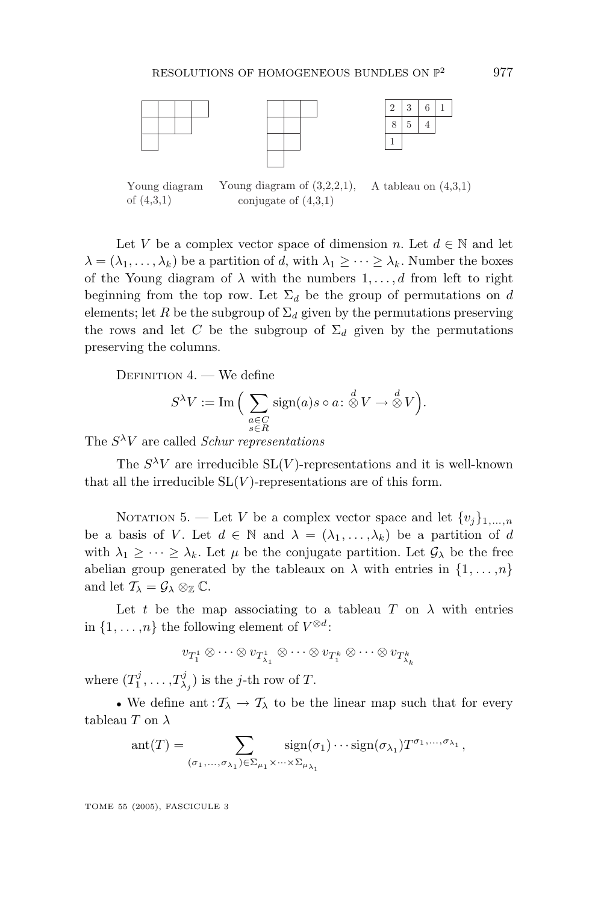



23 6 5 1 8 4 1

A tableau on (4,3,1) Young diagram of (4,3,1) Young diagram of (3,2,2,1), conjugate of  $(4,3,1)$ 

Let *V* be a complex vector space of dimension *n*. Let  $d \in \mathbb{N}$  and let  $\lambda = (\lambda_1, \ldots, \lambda_k)$  be a partition of *d*, with  $\lambda_1 \geq \cdots \geq \lambda_k$ . Number the boxes of the Young diagram of  $\lambda$  with the numbers  $1, \ldots, d$  from left to right beginning from the top row. Let  $\Sigma_d$  be the group of permutations on *d* elements; let *R* be the subgroup of  $\Sigma_d$  given by the permutations preserving the rows and let *C* be the subgroup of  $\Sigma_d$  given by the permutations preserving the columns.

DEFINITION 4. — We define

$$
S^{\lambda}V := \operatorname{Im} \Big( \sum_{\substack{a \in C \\ s \in R}} \operatorname{sign}(a) s \circ a : \overset{d}{\otimes} V \to \overset{d}{\otimes} V \Big).
$$

The  $S^{\lambda}V$  are called *Schur representations* 

The  $S^{\lambda}V$  are irreducible  $SL(V)$ -representations and it is well-known that all the irreducible  $SL(V)$ -representations are of this form.

NOTATION 5. — Let *V* be a complex vector space and let  $\{v_j\}_{1,\ldots,n}$ be a basis of *V*. Let  $d \in \mathbb{N}$  and  $\lambda = (\lambda_1, \ldots, \lambda_k)$  be a partition of *d* with  $\lambda_1 \geq \cdots \geq \lambda_k$ . Let  $\mu$  be the conjugate partition. Let  $\mathcal{G}_{\lambda}$  be the free abelian group generated by the tableaux on  $\lambda$  with entries in  $\{1, \ldots, n\}$ and let  $\mathcal{T}_{\lambda} = \mathcal{G}_{\lambda} \otimes_{\mathbb{Z}} \mathbb{C}$ .

Let *t* be the map associating to a tableau *T* on  $\lambda$  with entries in  $\{1, \ldots, n\}$  the following element of  $V^{\otimes d}$ :

 $v_{T_1^1} \otimes \cdots \otimes v_{T_{\lambda_1}^1} \otimes \cdots \otimes v_{T_1^k} \otimes \cdots \otimes v_{T_{\lambda_k}^k}$ 

where  $(T_1^j, \ldots, T_{\lambda_j}^j)$  is the *j*-th row of *T*.

• We define ant  $:\mathcal{T}_{\lambda} \to \mathcal{T}_{\lambda}$  to be the linear map such that for every tableau *T* on *λ*

$$
ant(T) = \sum_{(\sigma_1,\ldots,\sigma_{\lambda_1}) \in \Sigma_{\mu_1} \times \cdots \times \Sigma_{\mu_{\lambda_1}}} sign(\sigma_1) \cdots sign(\sigma_{\lambda_1}) T^{\sigma_1,\ldots,\sigma_{\lambda_1}},
$$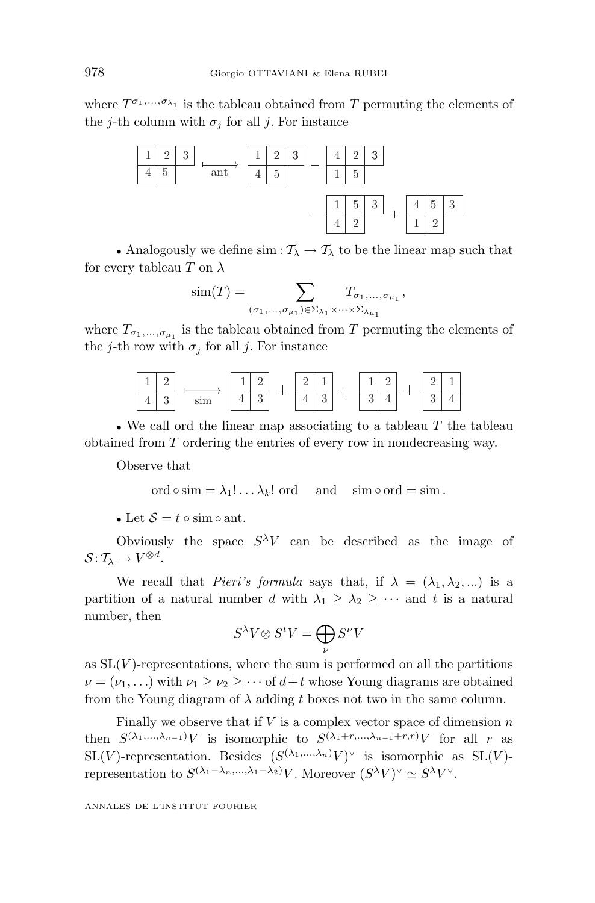where  $T^{\sigma_1,\ldots,\sigma_{\lambda_1}}$  is the tableau obtained from *T* permuting the elements of the *j*-th column with  $\sigma_j$  for all *j*. For instance



• Analogously we define  $\sin : \mathcal{T}_{\lambda} \to \mathcal{T}_{\lambda}$  to be the linear map such that for every tableau *T* on *λ*

$$
\text{sim}(T) = \sum_{(\sigma_1, \dots, \sigma_{\mu_1}) \in \Sigma_{\lambda_1} \times \dots \times \Sigma_{\lambda_{\mu_1}}} T_{\sigma_1, \dots, \sigma_{\mu_1}},
$$

where  $T_{\sigma_1,\ldots,\sigma_{\mu_1}}$  is the tableau obtained from  $T$  permuting the elements of the *j*-th row with  $\sigma_j$  for all *j*. For instance



• We call ord the linear map associating to a tableau *T* the tableau obtained from *T* ordering the entries of every row in nondecreasing way.

Observe that

ord  $\circ$  sim =  $\lambda_1! \dots \lambda_k!$  ord and sim  $\circ$  ord = sim.

• Let  $S = t \circ \text{sim} \circ \text{ant}$ .

Obviously the space  $S^{\lambda}V$  can be described as the image of  $\mathcal{S}: \mathcal{T}_{\lambda} \to V^{\otimes d}.$ 

We recall that *Pieri's formula* says that, if  $\lambda = (\lambda_1, \lambda_2, ...)$  is a partition of a natural number *d* with  $\lambda_1 \geq \lambda_2 \geq \cdots$  and *t* is a natural number, then

$$
S^{\lambda}V \otimes S^t V = \bigoplus_{\nu} S^{\nu} V
$$

as  $SL(V)$ -representations, where the sum is performed on all the partitions  $\nu = (\nu_1, \ldots)$  with  $\nu_1 \geq \nu_2 \geq \cdots$  of  $d+t$  whose Young diagrams are obtained from the Young diagram of  $\lambda$  adding *t* boxes not two in the same column.

Finally we observe that if *V* is a complex vector space of dimension *n* then  $S^{(\lambda_1,\ldots,\lambda_{n-1})}V$  is isomorphic to  $S^{(\lambda_1+r,\ldots,\lambda_{n-1}+r,r)}V$  for all *r* as SL(*V*)-representation. Besides  $(S^{(\lambda_1,\ldots,\lambda_n)}V)^\vee$  is isomorphic as SL(*V*)representation to  $S^{(\lambda_1 - \lambda_n, ..., \lambda_1 - \lambda_2)}V$ . Moreover  $(S^{\lambda}V)^{\vee} \simeq S^{\lambda}V^{\vee}$ .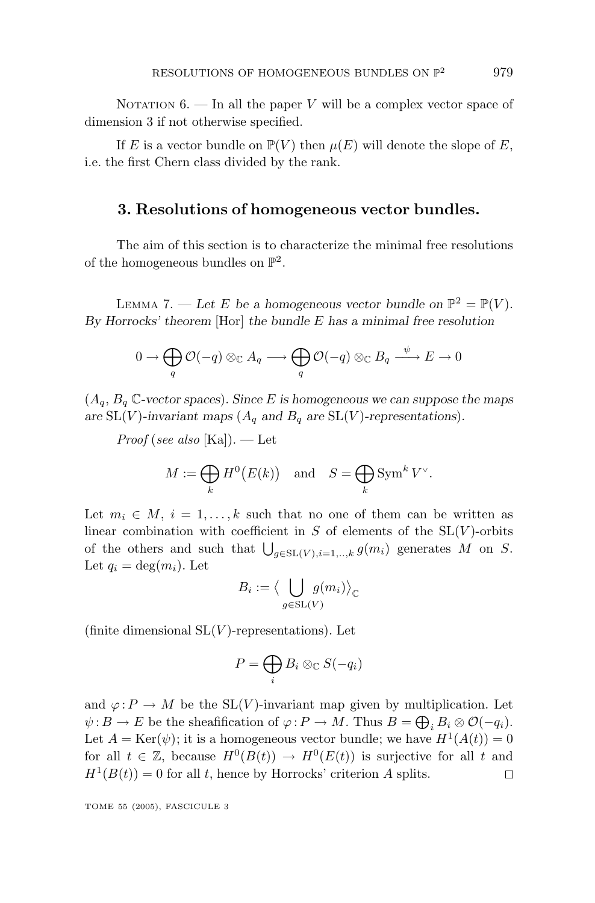NOTATION  $6.$  – In all the paper *V* will be a complex vector space of dimension 3 if not otherwise specified.

If *E* is a vector bundle on  $\mathbb{P}(V)$  then  $\mu(E)$  will denote the slope of *E*, i.e. the first Chern class divided by the rank.

### **3. Resolutions of homogeneous vector bundles.**

The aim of this section is to characterize the minimal free resolutions of the homogeneous bundles on  $\mathbb{P}^2$ .

LEMMA 7. — Let *E* be a homogeneous vector bundle on  $\mathbb{P}^2 = \mathbb{P}(V)$ . *By Horrocks' theorem* [Hor] *the bundle E has a minimal free resolution*

$$
0 \to \bigoplus_{q} \mathcal{O}(-q) \otimes_{\mathbb{C}} A_q \longrightarrow \bigoplus_{q} \mathcal{O}(-q) \otimes_{\mathbb{C}} B_q \xrightarrow{\psi} E \to 0
$$

 $(A_q, B_q \mathbb{C}$ -vector spaces). Since *E* is homogeneous we can suppose the maps are SL(*V*)-invariant maps ( $A_q$  and  $B_q$  are SL(*V*)-representations).

*Proof* (see also [Ka]). — Let

$$
M := \bigoplus_{k} H^{0}(E(k)) \quad \text{and} \quad S = \bigoplus_{k} \text{Sym}^{k} V^{\vee}.
$$

Let  $m_i \in M$ ,  $i = 1, \ldots, k$  such that no one of them can be written as linear combination with coefficient in  $S$  of elements of the  $SL(V)$ -orbits of the others and such that  $\bigcup_{g \in SL(V), i=1, \ldots, k} g(m_i)$  generates *M* on *S*. Let  $q_i = \deg(m_i)$ . Let

$$
B_i := \big\langle \bigcup_{g \in SL(V)} g(m_i) \big\rangle_{\mathbb{C}}
$$

(finite dimensional  $SL(V)$ -representations). Let

$$
P=\bigoplus_i B_i\otimes_{\mathbb{C}} S(-q_i)
$$

and  $\varphi: P \to M$  be the SL(*V*)-invariant map given by multiplication. Let  $\psi: B \to E$  be the sheafification of  $\varphi: P \to M$ . Thus  $B = \bigoplus_i B_i \otimes \mathcal{O}(-q_i)$ . Let  $A = \text{Ker}(\psi)$ ; it is a homogeneous vector bundle; we have  $H^1(A(t)) = 0$ for all  $t \in \mathbb{Z}$ , because  $H^0(B(t)) \to H^0(E(t))$  is surjective for all *t* and  $H^1(B(t)) = 0$  for all *t*, hence by Horrocks' criterion *A* splits.  $\Box$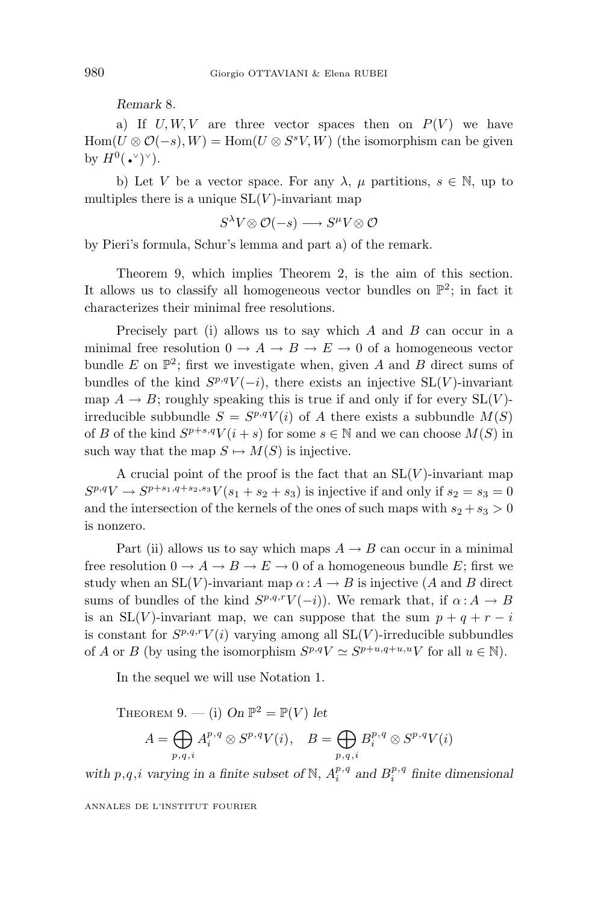*Remark* 8.

a) If  $U, W, V$  are three vector spaces then on  $P(V)$  we have  $\text{Hom}(U \otimes \mathcal{O}(-s), W) = \text{Hom}(U \otimes S^s V, W)$  (the isomorphism can be given by  $H^0(\cdot^\vee)^\vee$ ).

b) Let *V* be a vector space. For any  $\lambda$ ,  $\mu$  partitions,  $s \in \mathbb{N}$ , up to multiples there is a unique  $SL(V)$ -invariant map

$$
S^{\lambda}V \otimes \mathcal{O}(-s) \longrightarrow S^{\mu}V \otimes \mathcal{O}
$$

by Pieri's formula, Schur's lemma and part a) of the remark.

Theorem 9, which implies Theorem 2, is the aim of this section. It allows us to classify all homogeneous vector bundles on  $\mathbb{P}^2$ ; in fact it characterizes their minimal free resolutions.

Precisely part (i) allows us to say which *A* and *B* can occur in a minimal free resolution  $0 \to A \to B \to E \to 0$  of a homogeneous vector bundle  $E$  on  $\mathbb{P}^2$ ; first we investigate when, given  $A$  and  $B$  direct sums of bundles of the kind  $S^{p,q}V(-i)$ , there exists an injective SL(*V*)-invariant map  $A \rightarrow B$ ; roughly speaking this is true if and only if for every  $SL(V)$ irreducible subbundle  $S = S^{p,q}V(i)$  of *A* there exists a subbundle  $M(S)$ of *B* of the kind  $S^{p+s,q}V(i+s)$  for some  $s \in \mathbb{N}$  and we can choose  $M(S)$  in such way that the map  $S \mapsto M(S)$  is injective.

A crucial point of the proof is the fact that an  $SL(V)$ -invariant map  $S^{p,q}V \to S^{p+s_1,q+s_2,s_3}V(s_1+s_2+s_3)$  is injective if and only if  $s_2 = s_3 = 0$ and the intersection of the kernels of the ones of such maps with  $s_2 + s_3 > 0$ is nonzero.

Part (ii) allows us to say which maps  $A \rightarrow B$  can occur in a minimal free resolution  $0 \to A \to B \to E \to 0$  of a homogeneous bundle *E*; first we study when an  $SL(V)$ -invariant map  $\alpha: A \to B$  is injective (*A* and *B* direct sums of bundles of the kind  $S^{p,q,r}V(-i)$ ). We remark that, if  $\alpha: A \to B$ is an  $SL(V)$ -invariant map, we can suppose that the sum  $p + q + r - i$ is constant for  $S^{p,q,r}V(i)$  varying among all  $SL(V)$ -irreducible subbundles of *A* or *B* (by using the isomorphism  $S^{p,q}V \simeq S^{p+u,q+u,u}V$  for all  $u \in \mathbb{N}$ ).

In the sequel we will use Notation 1.

THEOREM 9. — (i) On 
$$
\mathbb{P}^2 = \mathbb{P}(V)
$$
 let  
\n
$$
A = \bigoplus_{p,q,i} A_i^{p,q} \otimes S^{p,q} V(i), \quad B = \bigoplus_{p,q,i} B_i^{p,q} \otimes S^{p,q} V(i)
$$

*with*  $p, q, i$  *varying in a finite subset of*  $\mathbb{N}, A_i^{p,q}$  *and*  $B_i^{p,q}$  *finite dimensional*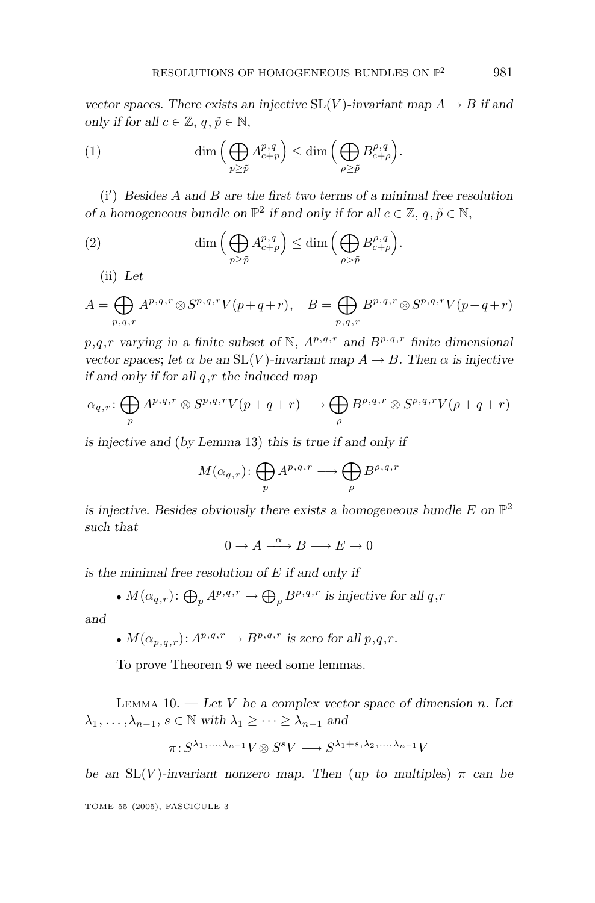*vector spaces. There exists an injective*  $SL(V)$ *-invariant map*  $A \rightarrow B$  *if and only if for all*  $c \in \mathbb{Z}, q, \tilde{p} \in \mathbb{N}$ ,

(1) 
$$
\dim\left(\bigoplus_{p\geq \tilde{p}} A^{p,q}_{c+p}\right) \leq \dim\left(\bigoplus_{\rho\geq \tilde{p}} B^{p,q}_{c+\rho}\right).
$$

(i ) *Besides A and B are the first two terms of a minimal free resolution of a homogeneous bundle on*  $\mathbb{P}^2$  *if and only if for all*  $c \in \mathbb{Z}$ ,  $q, \tilde{p} \in \mathbb{N}$ ,

(2) 
$$
\dim\left(\bigoplus_{p\geq \tilde{p}} A^{p,q}_{c+p}\right) \leq \dim\left(\bigoplus_{\rho>\tilde{p}} B^{p,q}_{c+\rho}\right).
$$

(ii) *Let*

$$
A = \bigoplus_{p,q,r} A^{p,q,r} \otimes S^{p,q,r} V(p+q+r), \quad B = \bigoplus_{p,q,r} B^{p,q,r} \otimes S^{p,q,r} V(p+q+r)
$$

*p,q,r* varying in a finite subset of N,  $A^{p,q,r}$  and  $B^{p,q,r}$  finite dimensional *vector spaces*; *let*  $\alpha$  *be an*  $SL(V)$ *-invariant map*  $A \rightarrow B$ *. Then*  $\alpha$  *is injective if and only if for all q,r the induced map*

$$
\alpha_{q,r}\colon \bigoplus_p A^{p,q,r}\otimes S^{p,q,r}V(p+q+r) \longrightarrow \bigoplus_{\rho} B^{\rho,q,r}\otimes S^{\rho,q,r}V(\rho+q+r)
$$

*is injective and* (*by Lemma* 13) *this is true if and only if*

$$
M(\alpha_{q,r})\colon \bigoplus_{p} A^{p,q,r} \longrightarrow \bigoplus_{\rho} B^{\rho,q,r}
$$

*is injective. Besides obviously there exists a homogeneous bundle*  $E$  on  $\mathbb{P}^2$ *such that*

 $0 \to A \xrightarrow{\alpha} B \longrightarrow E \to 0$ 

*is the minimal free resolution of E if and only if*

• 
$$
M(\alpha_{q,r})
$$
:  $\bigoplus_{p} A^{p,q,r} \to \bigoplus_{\rho} B^{\rho,q,r}$  is injective for all  $q,r$ 

*and*

•  $M(\alpha_{p,q,r}): A^{p,q,r} \to B^{p,q,r}$  is zero for all  $p,q,r$ .

To prove Theorem 9 we need some lemmas.

LEMMA 10.  $-$  *Let V be a complex vector space of dimension <i>n*. Let  $\lambda_1, \ldots, \lambda_{n-1}, s \in \mathbb{N}$  *with*  $\lambda_1 \geq \cdots \geq \lambda_{n-1}$  *and* 

$$
\pi: S^{\lambda_1,\ldots,\lambda_{n-1}}V \otimes S^sV \longrightarrow S^{\lambda_1+s,\lambda_2,\ldots,\lambda_{n-1}}V
$$

*be an*  $SL(V)$ *-invariant nonzero map. Then* (*up to multiples*)  $\pi$  *can be* 

$$
^{981}
$$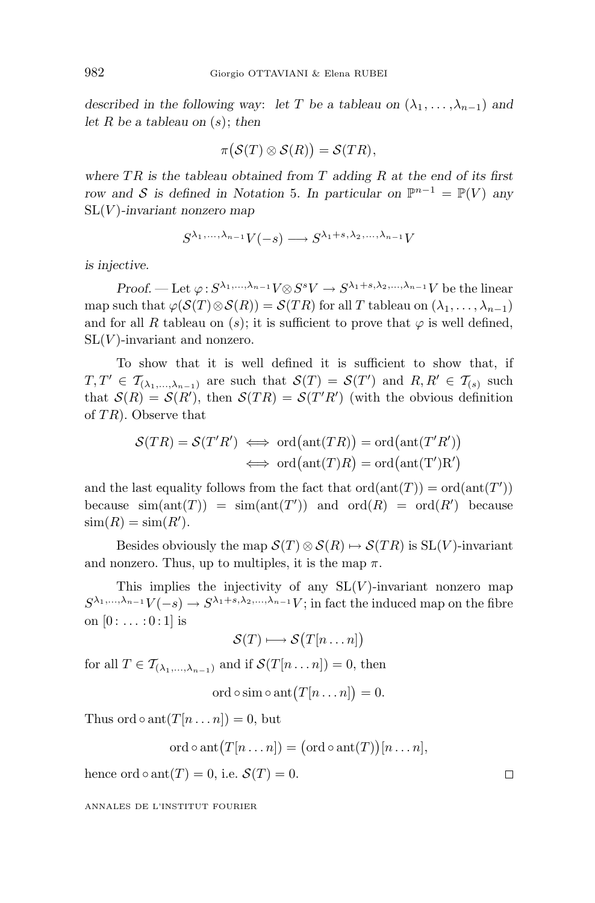*described in the following way: let T be a tableau on*  $(\lambda_1, \ldots, \lambda_{n-1})$  *and let R be a tableau on* (*s*); *then*

$$
\pi(S(T)\otimes S(R))=\mathcal{S}(TR),
$$

*where T R is the tableau obtained from T adding R at the end of its first row and* S *is defined in Notation* 5*. In particular on*  $\mathbb{P}^{n-1} = \mathbb{P}(V)$  *any* SL(*V* )*-invariant nonzero map*

$$
S^{\lambda_1,\ldots,\lambda_{n-1}}V(-s)\longrightarrow S^{\lambda_1+s,\lambda_2,\ldots,\lambda_{n-1}}V
$$

*is injective.*

*Proof.* — Let  $\varphi$ :  $S^{\lambda_1,\ldots,\lambda_{n-1}}V \otimes S^sV \to S^{\lambda_1+s,\lambda_2,\ldots,\lambda_{n-1}}V$  be the linear map such that  $\varphi(\mathcal{S}(T) \otimes \mathcal{S}(R)) = \mathcal{S}(TR)$  for all *T* tableau on  $(\lambda_1, \ldots, \lambda_{n-1})$ and for all *R* tableau on  $(s)$ ; it is sufficient to prove that  $\varphi$  is well defined,  $SL(V)$ -invariant and nonzero.

To show that it is well defined it is sufficient to show that, if  $T, T' \in \mathcal{T}_{(\lambda_1,\ldots,\lambda_{n-1})}$  are such that  $\mathcal{S}(T) = \mathcal{S}(T')$  and  $R, R' \in \mathcal{T}_{(s)}$  such that  $S(R) = S(R')$ , then  $S(TR) = S(T'R')$  (with the obvious definition of *T R*). Observe that

$$
\mathcal{S}(TR) = \mathcal{S}(T'R') \iff \text{ord}(\text{ant}(TR)) = \text{ord}(\text{ant}(T'R'))
$$
  

$$
\iff \text{ord}(\text{ant}(T/R)) = \text{ord}(\text{ant}(T')R')
$$

and the last equality follows from the fact that  $\text{ord}(\text{ant}(T)) = \text{ord}(\text{ant}(T'))$ because  $\text{sim}(\text{ant}(T)) = \text{sim}(\text{ant}(T'))$  and  $\text{ord}(R) = \text{ord}(R')$  because  $\text{sim}(R) = \text{sim}(R').$ 

Besides obviously the map  $\mathcal{S}(T) \otimes \mathcal{S}(R) \mapsto \mathcal{S}(TR)$  is  $SL(V)$ -invariant and nonzero. Thus, up to multiples, it is the map  $\pi$ .

This implies the injectivity of any  $SL(V)$ -invariant nonzero map  $S^{\lambda_1,\ldots,\lambda_{n-1}}V(-s) \to S^{\lambda_1+s,\lambda_2,\ldots,\lambda_{n-1}}V$ ; in fact the induced map on the fibre on  $[0: \ldots:0:1]$  is

$$
\mathcal{S}(T) \longmapsto \mathcal{S}(T[n \dots n])
$$

for all  $T \in \mathcal{T}_{(\lambda_1, ..., \lambda_{n-1})}$  and if  $\mathcal{S}(T[n...n]) = 0$ , then

 $\operatorname{ord}\circ\operatorname{sim}\circ\operatorname{ant}(T[n\ldots n])=0.$ 

Thus ord  $\circ$  ant $(T[n...n]) = 0$ , but

$$
ord \circ ant(T[n...n]) = (ord \circ ant(T))[n...n],
$$

hence ord  $\circ$  ant $(T) = 0$ , i.e.  $\mathcal{S}(T) = 0$ .

ANNALES DE L'INSTITUT FOURIER

 $\Box$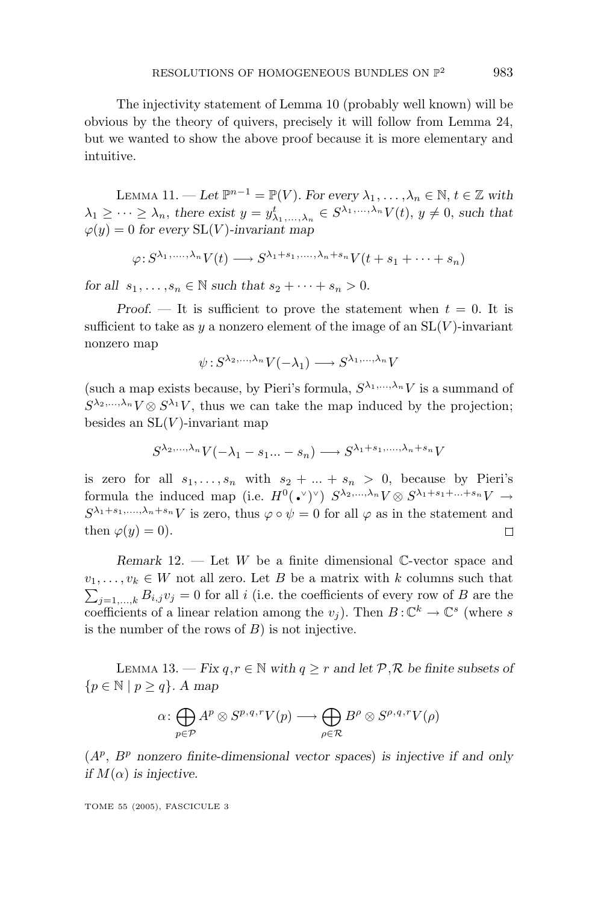The injectivity statement of Lemma 10 (probably well known) will be obvious by the theory of quivers, precisely it will follow from Lemma 24, but we wanted to show the above proof because it is more elementary and intuitive.

LEMMA 11. — Let  $\mathbb{P}^{n-1} = \mathbb{P}(V)$ . For every  $\lambda_1, \ldots, \lambda_n \in \mathbb{N}, t \in \mathbb{Z}$  with  $\lambda_1 \geq \cdots \geq \lambda_n$ , there exist  $y = y^t_{\lambda_1, \dots, \lambda_n} \in S^{\lambda_1, \dots, \lambda_n} V(t)$ ,  $y \neq 0$ , such that  $\varphi(y) = 0$  *for every* SL(*V*)*-invariant map* 

$$
\varphi: S^{\lambda_1,\ldots,\lambda_n}V(t) \longrightarrow S^{\lambda_1+s_1,\ldots,\lambda_n+s_n}V(t+s_1+\cdots+s_n)
$$

*for all*  $s_1, ..., s_n \in \mathbb{N}$  *such that*  $s_2 + ... + s_n > 0$ .

*Proof.*  $\qquad$  It is sufficient to prove the statement when  $t = 0$ . It is sufficient to take as  $y$  a nonzero element of the image of an  $SL(V)$ -invariant nonzero map

$$
\psi : S^{\lambda_2,\ldots,\lambda_n} V(-\lambda_1) \longrightarrow S^{\lambda_1,\ldots,\lambda_n} V
$$

(such a map exists because, by Pieri's formula,  $S^{\lambda_1,\ldots,\lambda_n}V$  is a summand of  $S^{\lambda_2,...,\lambda_n}V\otimes S^{\lambda_1}V$ , thus we can take the map induced by the projection; besides an  $SL(V)$ -invariant map

$$
S^{\lambda_2,\ldots,\lambda_n}V(-\lambda_1-s_1\ldots-s_n)\longrightarrow S^{\lambda_1+s_1,\ldots,\lambda_n+s_n}V
$$

is zero for all  $s_1, \ldots, s_n$  with  $s_2 + \ldots + s_n > 0$ , because by Pieri's formula the induced map (i.e.  $H^0(\cdot)^\vee$ )  $S^{\lambda_2,\dots,\lambda_n}V \otimes S^{\lambda_1+s_1+\dots+s_n}V \to$  $S^{\lambda_1+s_1,\ldots,\lambda_n+s_n}V$  is zero, thus  $\varphi \circ \psi = 0$  for all  $\varphi$  as in the statement and then  $\varphi(y) = 0$ .  $\Box$ 

*Remark* 12. — Let *W* be a finite dimensional C-vector space and  $v_1, \ldots, v_k \in W$  not all zero. Let *B* be a matrix with *k* columns such that  $\sum_{j=1,...,k} B_{i,j} v_j = 0$  for all *i* (i.e. the coefficients of every row of *B* are the coefficients of a linear relation among the  $v_j$ ). Then  $B: \mathbb{C}^k \to \mathbb{C}^s$  (where *s* is the number of the rows of *B*) is not injective.

LEMMA 13. − *Fix*  $q, r \in \mathbb{N}$  *with*  $q \geq r$  *and let*  $\mathcal{P}, \mathcal{R}$  *be finite subsets of*  ${p \in \mathbb{N} \mid p \geq q}.$  *A map* 

$$
\alpha \colon \bigoplus_{p \in \mathcal{P}} A^p \otimes S^{p,q,r} V(p) \longrightarrow \bigoplus_{\rho \in \mathcal{R}} B^{\rho} \otimes S^{\rho,q,r} V(\rho)
$$

(*A<sup>p</sup>*, *B<sup>p</sup> nonzero finite-dimensional vector spaces*) *is injective if and only if*  $M(\alpha)$  *is injective.*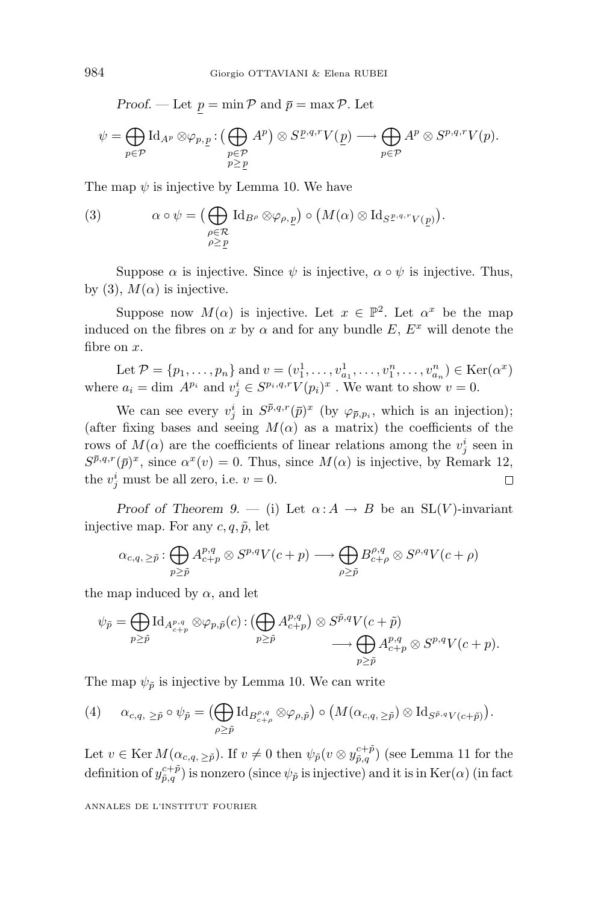*Proof.* — Let  $p = \min \mathcal{P}$  and  $\bar{p} = \max \mathcal{P}$ . Let

$$
\psi = \bigoplus_{p \in \mathcal{P}} \text{Id}_{A^p} \otimes \varphi_{p,\underline{p}} : \bigoplus_{\substack{p \in \mathcal{P} \\ p \ge \underline{p}}} A^p \big) \otimes S^{\underline{p},q,r} V(\underline{p}) \longrightarrow \bigoplus_{p \in \mathcal{P}} A^p \otimes S^{p,q,r} V(p).
$$

The map  $\psi$  is injective by Lemma 10. We have

(3) 
$$
\alpha \circ \psi = \left( \bigoplus_{\substack{\rho \in \mathcal{R} \\ \rho \ge \underline{p}}} \mathrm{Id}_{B^{\rho}} \otimes \varphi_{\rho, \underline{p}} \right) \circ \left( M(\alpha) \otimes \mathrm{Id}_{S^{\underline{p}, q, r} V(\underline{p})} \right).
$$

Suppose  $\alpha$  is injective. Since  $\psi$  is injective,  $\alpha \circ \psi$  is injective. Thus, by (3),  $M(\alpha)$  is injective.

Suppose now  $M(\alpha)$  is injective. Let  $x \in \mathbb{P}^2$ . Let  $\alpha^x$  be the map induced on the fibres on *x* by  $\alpha$  and for any bundle *E*,  $E^x$  will denote the fibre on *x*.

Let  $\mathcal{P} = \{p_1, \ldots, p_n\}$  and  $v = (v_1^1, \ldots, v_{a_1}^1, \ldots, v_1^n, \ldots, v_{a_n}^n) \in \text{Ker}(\alpha^x)$ where  $a_i = \dim A^{p_i}$  and  $v_j^i \in S^{p_i,q,r}V(p_i)^x$ . We want to show  $v = 0$ .

We can see every  $v_j^i$  in  $S^{\bar{p},q,r}(\bar{p})^x$  (by  $\varphi_{\bar{p},p_i}$ , which is an injection); (after fixing bases and seeing  $M(\alpha)$  as a matrix) the coefficients of the rows of  $M(\alpha)$  are the coefficients of linear relations among the  $v_j^i$  seen in  $S^{\bar{p},q,r}(\bar{p})^x$ , since  $\alpha^x(v) = 0$ . Thus, since  $M(\alpha)$  is injective, by Remark 12, the  $v_j^i$  must be all zero, i.e.  $v = 0$ .  $\Box$ 

*Proof of Theorem 9.* — (i) Let  $\alpha: A \rightarrow B$  be an SL(*V*)-invariant injective map. For any  $c, q, \tilde{p}$ , let

$$
\alpha_{c,q,\,\geq \tilde p}:\bigoplus_{p\geq \tilde p} A^{p,q}_{c+p}\otimes S^{p,q}V(c+p)\longrightarrow \bigoplus_{\rho\geq \tilde p} B^{ \rho,q}_{c+\rho}\otimes S^{\rho,q}V(c+\rho)
$$

the map induced by  $\alpha$ , and let

$$
\psi_{\tilde{p}} = \bigoplus_{p \geq \tilde{p}} \mathrm{Id}_{A^{p,q}_{c+p}} \otimes \varphi_{p,\tilde{p}}(c) : (\bigoplus_{p \geq \tilde{p}} A^{p,q}_{c+p}) \otimes S^{\tilde{p},q} V(c+\tilde{p}) \longrightarrow \bigoplus_{p \geq \tilde{p}} A^{p,q}_{c+p} \otimes S^{p,q} V(c+p).
$$

The map  $\psi_{\tilde{p}}$  is injective by Lemma 10. We can write

$$
(4) \qquad \alpha_{c,q, \geq \tilde{p}} \circ \psi_{\tilde{p}} = \left( \bigoplus_{\rho \geq \tilde{p}} \text{Id}_{B^{p,q}_{c+\rho}} \otimes \varphi_{\rho,\tilde{p}} \right) \circ \left( M(\alpha_{c,q,\geq \tilde{p}}) \otimes \text{Id}_{S^{\tilde{p},q}V(c+\tilde{p})} \right).
$$

Let  $v \in \text{Ker } M(\alpha_{c,q,\geq \tilde{p}})$ . If  $v \neq 0$  then  $\psi_{\tilde{p}}(v \otimes y_{\tilde{p},q}^{c+\tilde{p}})$  (see Lemma 11 for the definition of  $y_{\tilde{p},q}^{c+\tilde{p}}$ ) is nonzero (since  $\psi_{\tilde{p}}$  is injective) and it is in Ker( $\alpha$ ) (in fact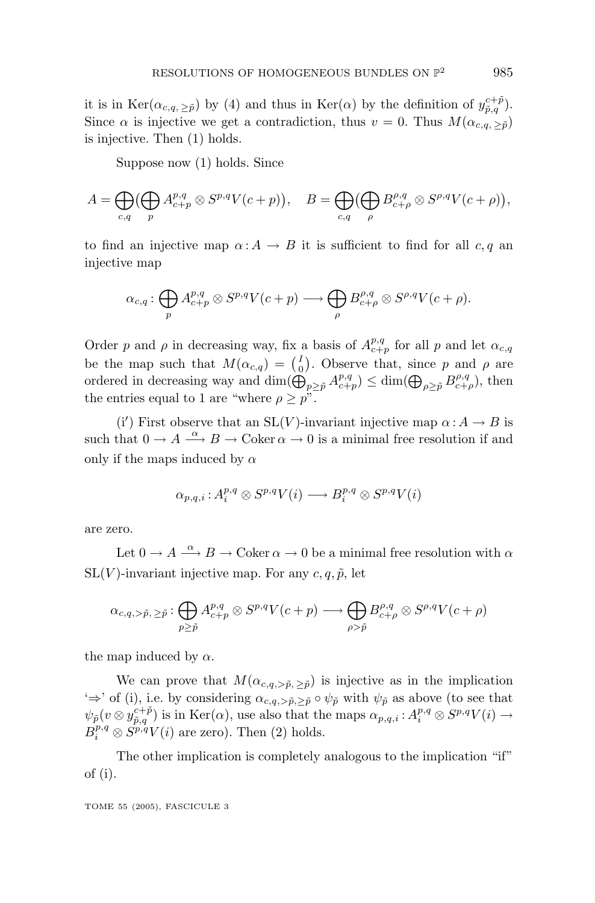it is in  $\text{Ker}(\alpha_{c,q,\geq \tilde{p}})$  by (4) and thus in  $\text{Ker}(\alpha)$  by the definition of  $y_{\tilde{p},q}^{c+\tilde{p}}$ . Since  $\alpha$  is injective we get a contradiction, thus  $v = 0$ . Thus  $M(\alpha_{c,q, > \tilde{p}})$ is injective. Then (1) holds.

Suppose now (1) holds. Since

$$
A = \bigoplus_{c,q} \left(\bigoplus_{p} A^{p,q}_{c+p} \otimes S^{p,q} V(c+p)\right), \quad B = \bigoplus_{c,q} \left(\bigoplus_{\rho} B^{p,q}_{c+\rho} \otimes S^{p,q} V(c+\rho)\right),
$$

to find an injective map  $\alpha: A \to B$  it is sufficient to find for all *c*, q an injective map

$$
\alpha_{c,q} : \bigoplus_{p} A^{p,q}_{c+p} \otimes S^{p,q} V(c+p) \longrightarrow \bigoplus_{\rho} B^{p,q}_{c+\rho} \otimes S^{\rho,q} V(c+\rho).
$$

Order *p* and *ρ* in decreasing way, fix a basis of  $A_{c+p}^{p,q}$  for all *p* and let  $\alpha_{c,q}$ be the map such that  $M(\alpha_{c,q}) = \binom{I}{0}$ . Observe that, since *p* and *ρ* are ordered in decreasing way and  $\dim(\widehat{\bigoplus}_{p\geq \tilde{p}} A^{p,q}_{c+p}) \leq \dim(\bigoplus_{\rho\geq \tilde{p}} B^{p,q}_{c+\rho}),$  then the entries equal to 1 are "where  $\rho \geq p$ ".

(i') First observe that an SL(*V*)-invariant injective map  $\alpha : A \to B$  is such that  $0 \to A \stackrel{\alpha}{\longrightarrow} B \to \text{Coker } \alpha \to 0$  is a minimal free resolution if and only if the maps induced by *α*

$$
\alpha_{p,q,i}\colon\! A^{p,q}_i\otimes S^{p,q}V(i)\longrightarrow B^{p,q}_i\otimes S^{p,q}V(i)
$$

are zero.

Let  $0 \to A \xrightarrow{\alpha} B \to \text{Coker } \alpha \to 0$  be a minimal free resolution with  $\alpha$  $SL(V)$ -invariant injective map. For any  $c, q, \tilde{p}$ , let

$$
\alpha_{c,q,>\tilde{p},\geq \tilde{p}} : \bigoplus_{p\geq \tilde{p}} A^{p,q}_{c+p}\otimes S^{p,q}V(c+p) \longrightarrow \bigoplus_{\rho>\tilde{p}} B^{p,q}_{c+\rho}\otimes S^{\rho,q}V(c+\rho)
$$

the map induced by  $\alpha$ .

We can prove that  $M(\alpha_{c,q,>\tilde{p},\tilde{p}})$  is injective as in the implication  $\leftrightarrow$ ' of (i), i.e. by considering  $\alpha_{c,q,>\tilde{p},\geq \tilde{p}} \circ \psi_{\tilde{p}}$  with  $\psi_{\tilde{p}}$  as above (to see that  $\psi_{\tilde{p}}(v \otimes y_{\tilde{p},q}^{c+\tilde{p}})$  is in Ker(*α*), use also that the maps  $\alpha_{p,q,i}: A_i^{p,q} \otimes S^{p,q}V(i) \to$  $B_i^{p,q} \otimes S_{i}^{p,q} V(i)$  are zero). Then (2) holds.

The other implication is completely analogous to the implication "if" of (i).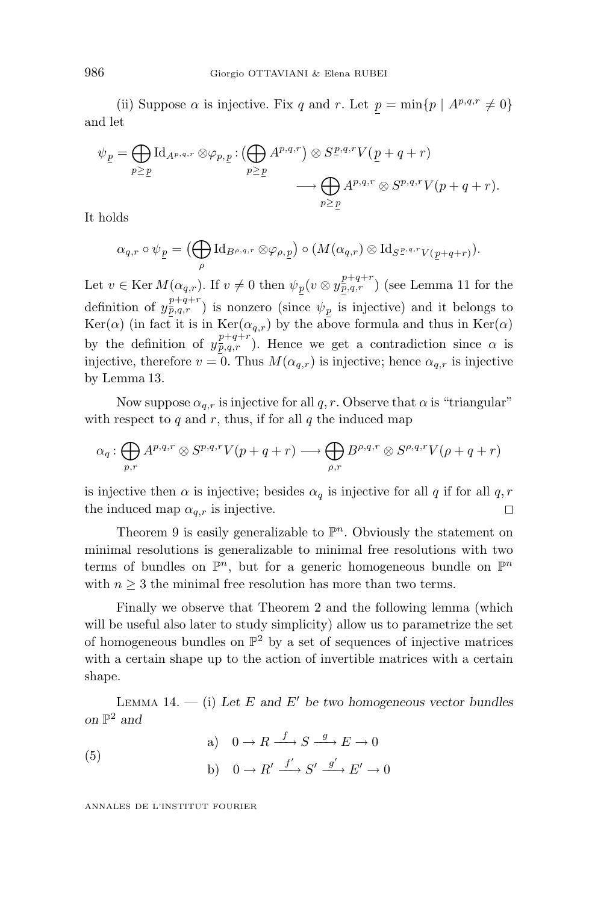(ii) Suppose  $\alpha$  is injective. Fix *q* and *r*. Let  $p = \min\{p \mid A^{p,q,r} \neq 0\}$ and let

$$
\psi_{\underline{p}} = \bigoplus_{p \geq \underline{p}} \text{Id}_{A^{p,q,r}} \otimes \varphi_{p,\underline{p}} : (\bigoplus_{p \geq \underline{p}} A^{p,q,r}) \otimes S^{\underline{p},q,r} V(\underline{p} + q + r) \longrightarrow \bigoplus_{p \geq \underline{p}} A^{p,q,r} \otimes S^{p,q,r} V(p + q + r).
$$

It holds

$$
\alpha_{q,r}\circ\psi_{\underline{p}}=\big(\bigoplus_{\rho}\operatorname{Id}_{B^{\rho,q,r}}\otimes\varphi_{\rho,\underline{p}}\big)\circ(M(\alpha_{q,r})\otimes\operatorname{Id}_{S^{\underline{p},q,r}V(\underline{p}+q+r)}).
$$

Let  $v \in \text{Ker } M(\alpha_{q,r})$ . If  $v \neq 0$  then  $\psi_p(v \otimes y_{p,q,r}^{p+q+r})$  (see Lemma 11 for the definition of  $y_{p,q,r}^{p+q+r}$  is nonzero (since  $\psi_p$  is injective) and it belongs to Ker( $\alpha$ ) (in fact it is in Ker( $\alpha_{q,r}$ ) by the above formula and thus in Ker( $\alpha$ ) by the definition of  $y_{p,q,r}^{p+q+r}$ ). Hence we get a contradiction since  $\alpha$  is injective, therefore  $v = 0$ . Thus  $M(\alpha_{q,r})$  is injective; hence  $\alpha_{q,r}$  is injective by Lemma 13.

Now suppose  $\alpha_{q,r}$  is injective for all  $q, r$ . Observe that  $\alpha$  is "triangular" with respect to  $q$  and  $r$ , thus, if for all  $q$  the induced map

$$
\alpha_q : \bigoplus_{p,r} A^{p,q,r} \otimes S^{p,q,r} V(p+q+r) \longrightarrow \bigoplus_{\rho,r} B^{\rho,q,r} \otimes S^{\rho,q,r} V(\rho+q+r)
$$

is injective then  $\alpha$  is injective; besides  $\alpha_q$  is injective for all *q* if for all *q*, *r* the induced map  $\alpha_{q,r}$  is injective.  $\Box$ 

Theorem 9 is easily generalizable to  $\mathbb{P}^n$ . Obviously the statement on minimal resolutions is generalizable to minimal free resolutions with two terms of bundles on  $\mathbb{P}^n$ , but for a generic homogeneous bundle on  $\mathbb{P}^n$ with  $n \geq 3$  the minimal free resolution has more than two terms.

Finally we observe that Theorem 2 and the following lemma (which will be useful also later to study simplicity) allow us to parametrize the set of homogeneous bundles on  $\mathbb{P}^2$  by a set of sequences of injective matrices with a certain shape up to the action of invertible matrices with a certain shape.

LEMMA 14.  $-$  (i) Let *E* and *E'* be two homogeneous vector bundles *on*  $\mathbb{P}^2$  *and* 

(5)   
\n(a) 
$$
0 \to R \xrightarrow{f} S \xrightarrow{g} E \to 0
$$
  
\n(b)  $0 \to R' \xrightarrow{f'} S' \xrightarrow{g'} E' \to 0$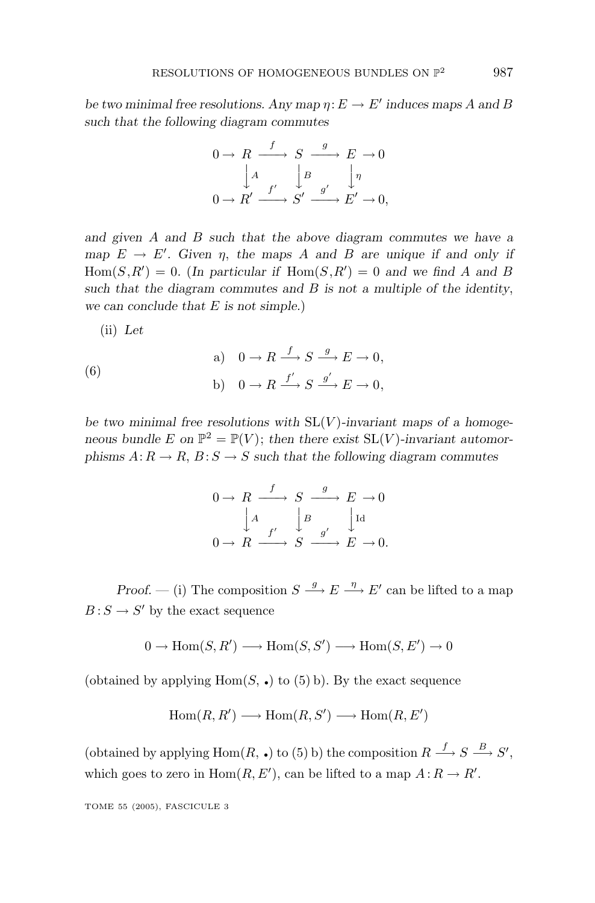*be two minimal free resolutions. Any map*  $\eta: E \to E'$  *induces maps A* and *B such that the following diagram commutes*

$$
0 \to R \xrightarrow{f} S \xrightarrow{g} E \to 0
$$

$$
\downarrow A \qquad \downarrow B \qquad \downarrow \eta
$$

$$
0 \to R' \xrightarrow{f'} S' \xrightarrow{g'} E' \to 0,
$$

*and given A and B such that the above diagram commutes we have a map*  $E \rightarrow E'$ . Given  $\eta$ , the maps *A* and *B* are unique if and only if  $Hom(S, R') = 0$ . (In particular if  $Hom(S, R') = 0$  and we find A and B *such that the diagram commutes and B is not a multiple of the identity*, *we can conclude that E is not simple.*)

(ii) *Let*

(6)   
\n(a) 
$$
0 \to R \xrightarrow{f} S \xrightarrow{g} E \to 0,
$$
  
\n(b)  $0 \to R \xrightarrow{f'} S \xrightarrow{g'} E \to 0,$ 

*be two minimal free resolutions with* SL(*V* )*-invariant maps of a homogeneous bundle*  $E$  on  $\mathbb{P}^2 = \mathbb{P}(V)$ ; *then there exist*  $SL(V)$ *-invariant automorphisms*  $A: R \to R$ ,  $B: S \to S$  *such that the following diagram commutes* 

$$
0 \to R \xrightarrow{f} S \xrightarrow{g} E \to 0
$$

$$
\downarrow A \qquad \downarrow B \qquad \downarrow \text{Id}
$$

$$
0 \to R \xrightarrow{f'} S \xrightarrow{g'} E \to 0.
$$

*Proof.* — (i) The composition  $S \stackrel{g}{\longrightarrow} E \stackrel{\eta}{\longrightarrow} E'$  can be lifted to a map  $B: S \to S'$  by the exact sequence

$$
0 \to \text{Hom}(S, R') \longrightarrow \text{Hom}(S, S') \longrightarrow \text{Hom}(S, E') \to 0
$$

(obtained by applying  $Hom(S, \bullet)$  to (5) b). By the exact sequence

$$
Hom(R, R') \longrightarrow Hom(R, S') \longrightarrow Hom(R, E')
$$

(obtained by applying Hom $(R, \bullet)$  to (5) b) the composition  $R \stackrel{f}{\longrightarrow} S \stackrel{B}{\longrightarrow} S'$ , which goes to zero in  $Hom(R, E')$ , can be lifted to a map  $A: R \to R'$ .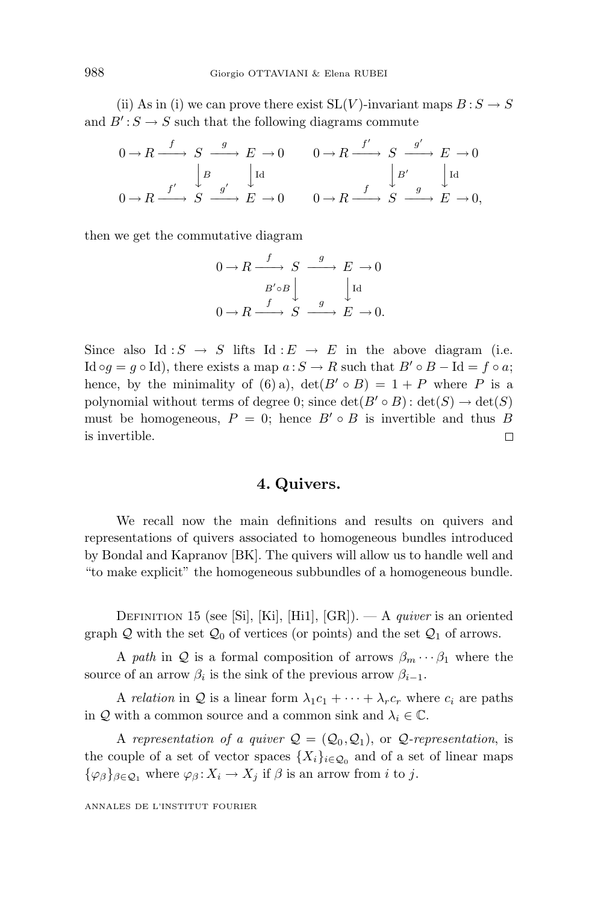(ii) As in (i) we can prove there exist  $SL(V)$ -invariant maps  $B: S \to S$ and  $B': S \to S$  such that the following diagrams commute

$$
\begin{array}{ccc}\n0 \to R \xrightarrow{f} & S \xrightarrow{g} & E \to 0 \\
\downarrow B & \downarrow \text{Id} & \downarrow B' \\
0 \to R \xrightarrow{f'} & S \xrightarrow{g'} & E \to 0 \\
0 \to R \xrightarrow{f} & S \xrightarrow{g'} & E \to 0 \\
0 \to R \xrightarrow{f} & S \xrightarrow{g} & E \to 0,\n\end{array}
$$

then we get the commutative diagram

$$
0 \to R \xrightarrow{f} S \xrightarrow{g} E \to 0
$$
  

$$
B' \circ B \downarrow \qquad \qquad \downarrow \text{Id}
$$
  

$$
0 \to R \xrightarrow{f} S \xrightarrow{g} E \to 0.
$$

Since also Id:  $S \rightarrow S$  lifts Id:  $E \rightarrow E$  in the above diagram (i.e. Id  $\circ q = q \circ \text{Id}$ , there exists a map  $a : S \to R$  such that  $B' \circ B - \text{Id} = f \circ a$ ; hence, by the minimality of (6) a),  $\det(B' \circ B) = 1 + P$  where P is a polynomial without terms of degree 0; since  $\det(B' \circ B)$ :  $\det(S) \to \det(S)$ must be homogeneous,  $P = 0$ ; hence  $B' \circ B$  is invertible and thus *B* is invertible.  $\Box$ 

## **4. Quivers.**

We recall now the main definitions and results on quivers and representations of quivers associated to homogeneous bundles introduced by Bondal and Kapranov [BK]. The quivers will allow us to handle well and "to make explicit" the homogeneous subbundles of a homogeneous bundle.

DEFINITION 15 (see [Si], [Ki], [Hi1], [GR]). — A *quiver* is an oriented graph Q with the set  $Q_0$  of vertices (or points) and the set  $Q_1$  of arrows.

A path in Q is a formal composition of arrows  $\beta_m \cdots \beta_1$  where the source of an arrow  $\beta_i$  is the sink of the previous arrow  $\beta_{i-1}$ .

A relation in Q is a linear form  $\lambda_1 c_1 + \cdots + \lambda_r c_r$  where  $c_i$  are paths in Q with a common source and a common sink and  $\lambda_i \in \mathbb{C}$ .

A representation of a quiver  $\mathcal{Q} = (\mathcal{Q}_0, \mathcal{Q}_1)$ , or  $\mathcal{Q}$ -representation, is the couple of a set of vector spaces  $\{X_i\}_{i\in\mathcal{Q}_0}$  and of a set of linear maps  ${\varphi_{\beta}}_{\beta \in Q_1}$  where  $\varphi_{\beta} : X_i \to X_j$  if  $\beta$  is an arrow from *i* to *j*.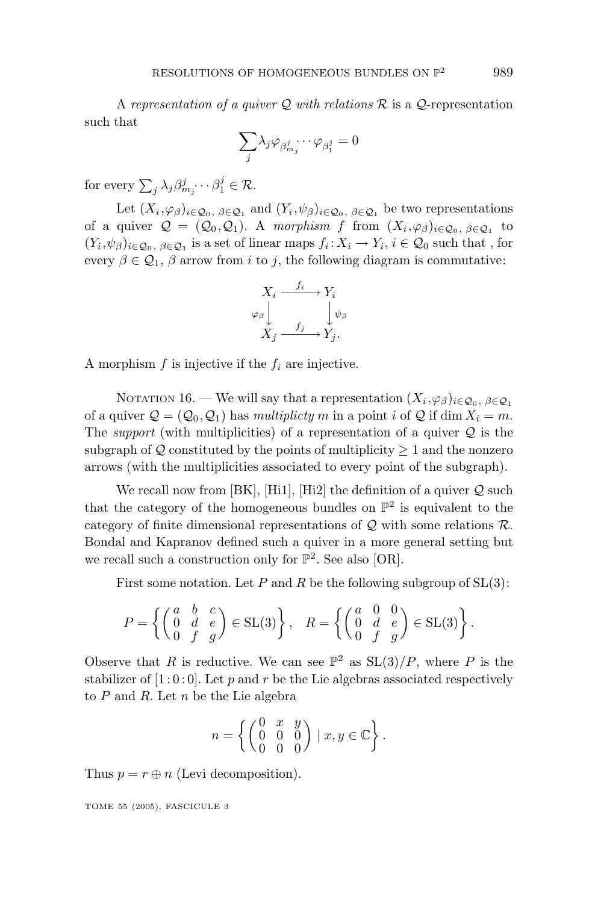A representation of a quiver  $Q$  with relations  $R$  is a  $Q$ -representation such that

$$
\sum_j \lambda_j \varphi_{\beta^j_{m_j}} \cdots \varphi_{\beta^j_1} = 0
$$

for every  $\sum_{j} \lambda_j \beta_{m_j}^j \cdots \beta_1^j \in \mathcal{R}$ .

Let  $(X_i, \varphi_\beta)_{i \in \mathcal{Q}_0, \beta \in \mathcal{Q}_1}$  and  $(Y_i, \psi_\beta)_{i \in \mathcal{Q}_0, \beta \in \mathcal{Q}_1}$  be two representations of a quiver  $\mathcal{Q} = (\mathcal{Q}_0, \mathcal{Q}_1)$ . A morphism *f* from  $(X_i, \varphi_\beta)_{i \in \mathcal{Q}_0, \beta \in \mathcal{Q}_1}$  to  $(Y_i, \psi_\beta)_{i \in \mathcal{Q}_0, \beta \in \mathcal{Q}_1}$  is a set of linear maps  $f_i: X_i \to Y_i, i \in \mathcal{Q}_0$  such that, for every  $\beta \in \mathcal{Q}_1$ ,  $\beta$  arrow from *i* to *j*, the following diagram is commutative:

$$
X_i \xrightarrow{f_i} Y_i
$$
  
\n
$$
\varphi_\beta \downarrow \qquad \qquad \downarrow \psi_\beta
$$
  
\n
$$
X_j \xrightarrow{f_j} Y_j.
$$

A morphism *f* is injective if the *f<sup>i</sup>* are injective.

NOTATION 16. — We will say that a representation  $(X_i, \varphi_\beta)_{i \in \mathcal{Q}_0, \beta \in \mathcal{Q}_1}$ of a quiver  $Q = (Q_0, Q_1)$  has *multiplicty m* in a point *i* of Q if dim  $X_i = m$ . The *support* (with multiplicities) of a representation of a quiver  $Q$  is the subgraph of  $Q$  constituted by the points of multiplicity  $\geq 1$  and the nonzero arrows (with the multiplicities associated to every point of the subgraph).

We recall now from  $[BK], [Hi1], [Hi2]$  the definition of a quiver  $Q$  such that the category of the homogeneous bundles on  $\mathbb{P}^2$  is equivalent to the category of finite dimensional representations of  $Q$  with some relations  $R$ . Bondal and Kapranov defined such a quiver in a more general setting but we recall such a construction only for  $\mathbb{P}^2$ . See also [OR].

First some notation. Let  $P$  and  $R$  be the following subgroup of  $SL(3)$ :

$$
P = \left\{ \begin{pmatrix} a & b & c \\ 0 & d & e \\ 0 & f & g \end{pmatrix} \in SL(3) \right\}, \quad R = \left\{ \begin{pmatrix} a & 0 & 0 \\ 0 & d & e \\ 0 & f & g \end{pmatrix} \in SL(3) \right\}.
$$

Observe that *R* is reductive. We can see  $\mathbb{P}^2$  as  $SL(3)/P$ , where *P* is the stabilizer of  $[1:0:0]$ . Let p and r be the Lie algebras associated respectively to *P* and *R*. Let *n* be the Lie algebra

$$
n = \left\{ \begin{pmatrix} 0 & x & y \\ 0 & 0 & 0 \\ 0 & 0 & 0 \end{pmatrix} \mid x, y \in \mathbb{C} \right\}.
$$

Thus  $p = r \oplus n$  (Levi decomposition).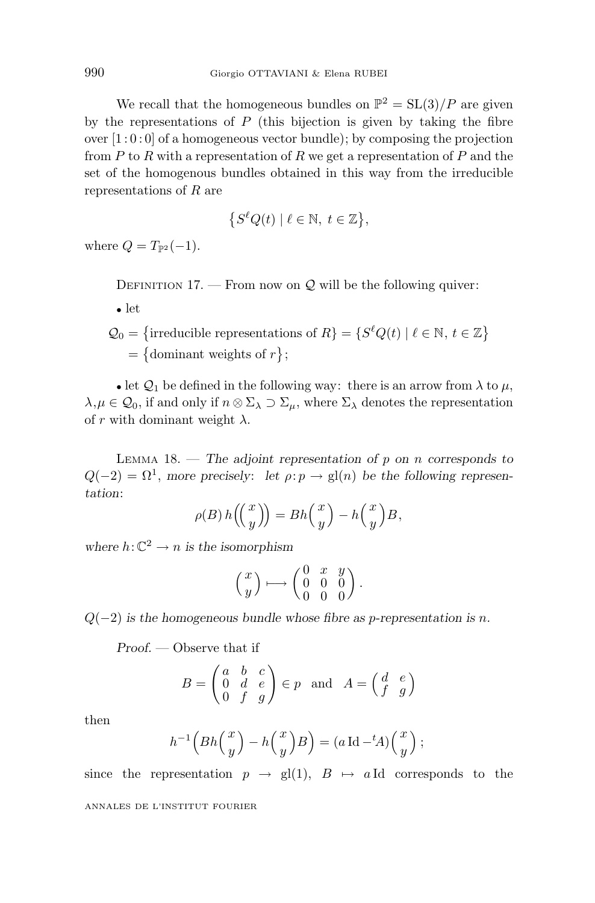We recall that the homogeneous bundles on  $\mathbb{P}^2 = SL(3)/P$  are given by the representations of *P* (this bijection is given by taking the fibre over  $[1:0:0]$  of a homogeneous vector bundle); by composing the projection from *P* to *R* with a representation of *R* we get a representation of *P* and the set of the homogenous bundles obtained in this way from the irreducible representations of *R* are

$$
\{S^{\ell}Q(t) \mid \ell \in \mathbb{N}, t \in \mathbb{Z}\},\
$$

where  $Q = T_{\mathbb{P}^2}(-1)$ .

DEFINITION 17. — From now on  $\mathcal{Q}$  will be the following quiver:

- let
- $Q_0 = \{$ irreducible representations of  $R$ } = { $S^{\ell}Q(t) | \ell \in \mathbb{N}, t \in \mathbb{Z}$ }  $= \{$  dominant weights of  $r$   $\};$

• let  $\mathcal{Q}_1$  be defined in the following way: there is an arrow from  $\lambda$  to  $\mu$ ,  $\lambda, \mu \in \mathcal{Q}_0$ , if and only if  $n \otimes \Sigma_\lambda \supset \Sigma_\mu$ , where  $\Sigma_\lambda$  denotes the representation of *r* with dominant weight  $\lambda$ .

LEMMA 18. — *The adjoint representation of p on n corresponds to*  $Q(-2) = \Omega^1$ , *more precisely: let*  $\rho: p \to gl(n)$  *be the following representation*:

$$
\rho(B) h\left(\binom{x}{y}\right) = Bh\binom{x}{y} - h\binom{x}{y}B,
$$

*where*  $h: \mathbb{C}^2 \to n$  *is the isomorphism* 

$$
\left(\begin{matrix}x\\y\end{matrix}\right)\longmapsto \left(\begin{matrix}0&x&y\\0&0&0\\0&0&0\end{matrix}\right).
$$

*Q*(−2) *is the homogeneous bundle whose fibre as p-representation is n.*

*Proof.* — Observe that if

$$
B = \begin{pmatrix} a & b & c \\ 0 & d & e \\ 0 & f & g \end{pmatrix} \in p \text{ and } A = \begin{pmatrix} d & e \\ f & g \end{pmatrix}
$$

then

$$
h^{-1}\left(Bh\left(\frac{x}{y}\right) - h\left(\frac{x}{y}\right)B\right) = (a \operatorname{Id} - {}^{t}A)\left(\frac{x}{y}\right);
$$

since the representation  $p \to \text{gl}(1)$ ,  $B \mapsto a \text{Id}$  corresponds to the ANNALES DE L'INSTITUT FOURIER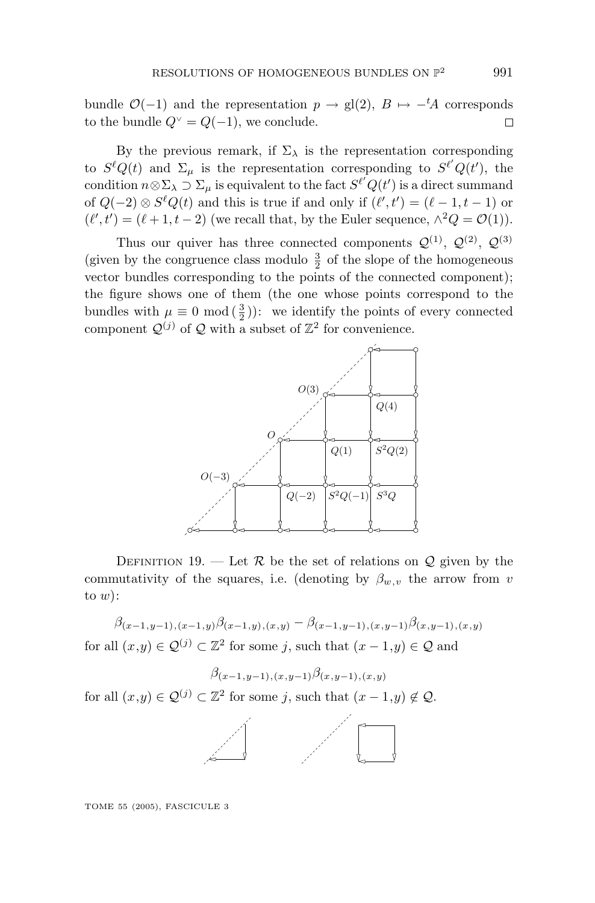bundle  $\mathcal{O}(-1)$  and the representation  $p \to \text{gl}(2)$ ,  $B \mapsto -{}^tA$  corresponds to the bundle  $Q^{\vee} = Q(-1)$ , we conclude.  $\Box$ 

By the previous remark, if  $\Sigma_{\lambda}$  is the representation corresponding to  $S^{\ell}Q(t)$  and  $\Sigma_{\mu}$  is the representation corresponding to  $S^{\ell'}Q(t')$ , the condition  $n \otimes \Sigma_{\lambda} \supset \Sigma_{\mu}$  is equivalent to the fact  $S^{\ell'}Q(t')$  is a direct summand of  $Q(-2) \otimes S^{\ell}Q(t)$  and this is true if and only if  $(\ell', t') = (\ell - 1, t - 1)$  or  $(\ell', t') = (\ell + 1, t - 2)$  (we recall that, by the Euler sequence,  $\wedge^2 Q = \mathcal{O}(1)$ ).

Thus our quiver has three connected components  $\mathcal{Q}^{(1)}$ ,  $\mathcal{Q}^{(2)}$ ,  $\mathcal{Q}^{(3)}$ (given by the congruence class modulo  $\frac{3}{2}$  of the slope of the homogeneous vector bundles corresponding to the points of the connected component); the figure shows one of them (the one whose points correspond to the bundles with  $\mu \equiv 0 \mod \left(\frac{3}{2}\right)$ : we identify the points of every connected component  $\mathcal{Q}^{(j)}$  of  $\mathcal Q$  with a subset of  $\mathbb Z^2$  for convenience.



DEFINITION 19. — Let  $R$  be the set of relations on  $Q$  given by the commutativity of the squares, i.e. (denoting by  $\beta_{w,v}$  the arrow from *v* to *w*):

 $\beta_{(x-1,y-1),(x-1,y)}\beta_{(x-1,y),(x,y)} - \beta_{(x-1,y-1),(x,y-1)}\beta_{(x,y-1),(x,y)}$ for all  $(x,y) \in \mathcal{Q}^{(j)} \subset \mathbb{Z}^2$  for some *j*, such that  $(x-1,y) \in \mathcal{Q}$  and

$$
\beta_{(x-1,y-1),(x,y-1)}\beta_{(x,y-1),(x,y)}
$$

for all  $(x,y) \in \mathcal{Q}^{(j)} \subset \mathbb{Z}^2$  for some *j*, such that  $(x-1,y) \notin \mathcal{Q}$ .

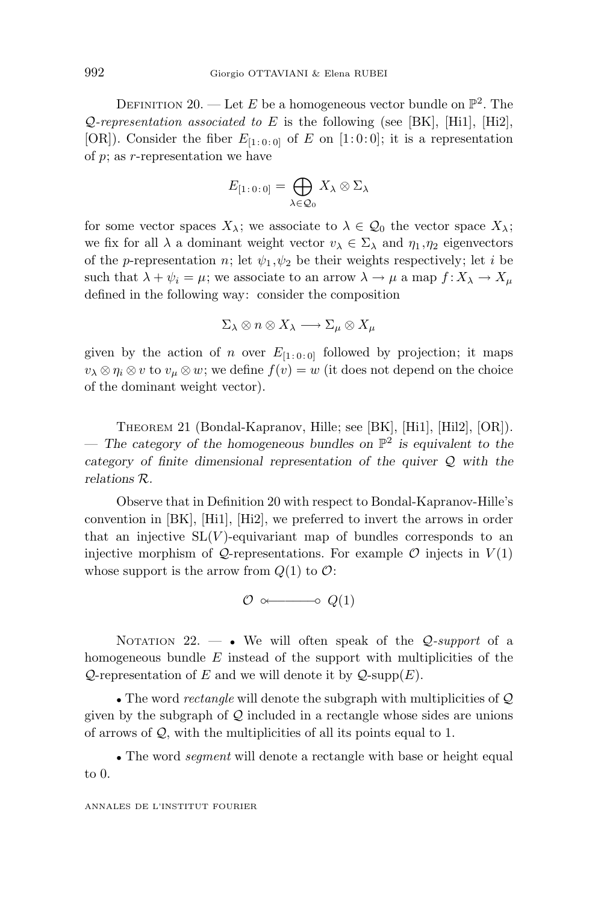DEFINITION 20. — Let *E* be a homogeneous vector bundle on  $\mathbb{P}^2$ . The Q-representation associated to *E* is the following (see [BK], [Hi1], [Hi2], [OR]). Consider the fiber  $E_{[1:0:0]}$  of *E* on [1:0:0]; it is a representation of *p*; as *r*-representation we have

$$
E_{[1:0:0]} = \bigoplus_{\lambda \in \mathcal{Q}_0} X_{\lambda} \otimes \Sigma_{\lambda}
$$

for some vector spaces  $X_{\lambda}$ ; we associate to  $\lambda \in \mathcal{Q}_0$  the vector space  $X_{\lambda}$ ; we fix for all  $\lambda$  a dominant weight vector  $v_{\lambda} \in \Sigma_{\lambda}$  and  $\eta_1, \eta_2$  eigenvectors of the *p*-representation *n*; let  $\psi_1, \psi_2$  be their weights respectively; let *i* be such that  $\lambda + \psi_i = \mu$ ; we associate to an arrow  $\lambda \to \mu$  a map  $f: X_{\lambda} \to X_{\mu}$ defined in the following way: consider the composition

$$
\Sigma_{\lambda} \otimes n \otimes X_{\lambda} \longrightarrow \Sigma_{\mu} \otimes X_{\mu}
$$

given by the action of *n* over  $E_{[1:0:0]}$  followed by projection; it maps  $v_{\lambda} \otimes \eta_i \otimes v$  to  $v_{\mu} \otimes w$ ; we define  $f(v) = w$  (it does not depend on the choice of the dominant weight vector).

THEOREM 21 (Bondal-Kapranov, Hille; see [BK], [Hi1], [Hil2], [OR]). — The category of the homogeneous bundles on  $\mathbb{P}^2$  is equivalent to the *category of finite dimensional representation of the quiver* Q *with the relations* R*.*

Observe that in Definition 20 with respect to Bondal-Kapranov-Hille's convention in [BK], [Hi1], [Hi2], we preferred to invert the arrows in order that an injective  $SL(V)$ -equivariant map of bundles corresponds to an injective morphism of  $Q$ -representations. For example  $\mathcal O$  injects in  $V(1)$ whose support is the arrow from  $Q(1)$  to  $\mathcal{O}$ :

 $\mathcal{O} \circ \rightarrow \mathcal{O}(1)$ 

NOTATION 22.  $\longrightarrow$  We will often speak of the *Q-support* of a homogeneous bundle *E* instead of the support with multiplicities of the  $Q$ -representation of *E* and we will denote it by  $Q$ -supp $(E)$ .

• The word *rectangle* will denote the subgraph with multiplicities of  $Q$ given by the subgraph of  $Q$  included in a rectangle whose sides are unions of arrows of Q, with the multiplicities of all its points equal to 1.

• The word *segment* will denote a rectangle with base or height equal to 0.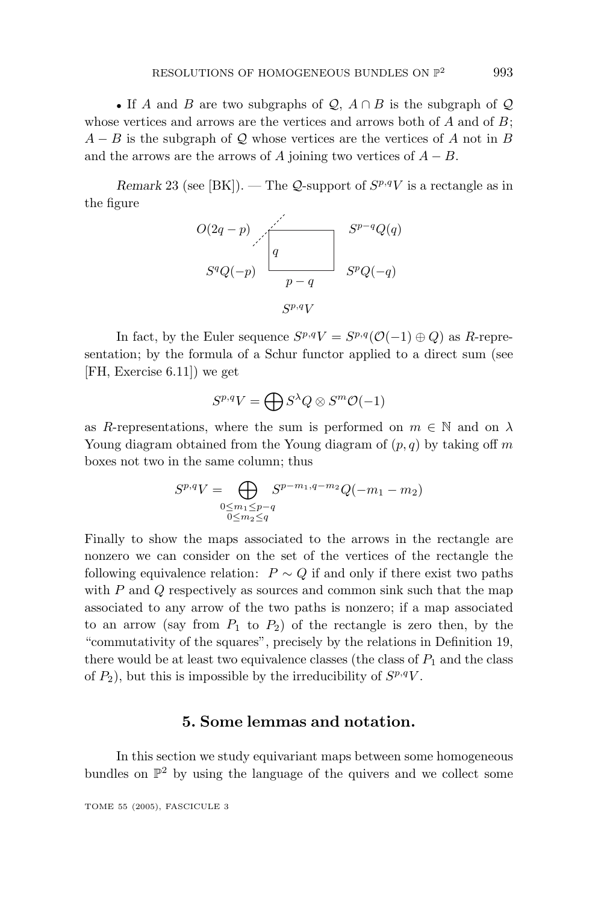• If *A* and *B* are two subgraphs of  $Q$ ,  $A \cap B$  is the subgraph of  $Q$ whose vertices and arrows are the vertices and arrows both of *A* and of *B*;  $A - B$  is the subgraph of Q whose vertices are the vertices of A not in B and the arrows are the arrows of *A* joining two vertices of  $A - B$ .

*Remark* 23 (see [BK]). — The *Q*-support of  $S^{p,q}V$  is a rectangle as in the figure



In fact, by the Euler sequence  $S^{p,q}V = S^{p,q}(\mathcal{O}(-1) \oplus Q)$  as *R*-representation; by the formula of a Schur functor applied to a direct sum (see [FH, Exercise 6.11]) we get

$$
S^{p,q}V=\bigoplus S^{\lambda}Q\otimes S^m\mathcal{O}(-1)
$$

as *R*-representations, where the sum is performed on  $m \in \mathbb{N}$  and on  $\lambda$ Young diagram obtained from the Young diagram of (*p, q*) by taking off *m* boxes not two in the same column; thus

$$
S^{p,q}V = \bigoplus_{\substack{0 \le m_1 \le p-q \\ 0 \le m_2 \le q}} S^{p-m_1,q-m_2}Q(-m_1 - m_2)
$$

Finally to show the maps associated to the arrows in the rectangle are nonzero we can consider on the set of the vertices of the rectangle the following equivalence relation:  $P \sim Q$  if and only if there exist two paths with *P* and *Q* respectively as sources and common sink such that the map associated to any arrow of the two paths is nonzero; if a map associated to an arrow (say from  $P_1$  to  $P_2$ ) of the rectangle is zero then, by the "commutativity of the squares", precisely by the relations in Definition 19, there would be at least two equivalence classes (the class of  $P_1$  and the class of  $P_2$ ), but this is impossible by the irreducibility of  $S^{p,q}V$ .

## **5. Some lemmas and notation.**

In this section we study equivariant maps between some homogeneous bundles on  $\mathbb{P}^2$  by using the language of the quivers and we collect some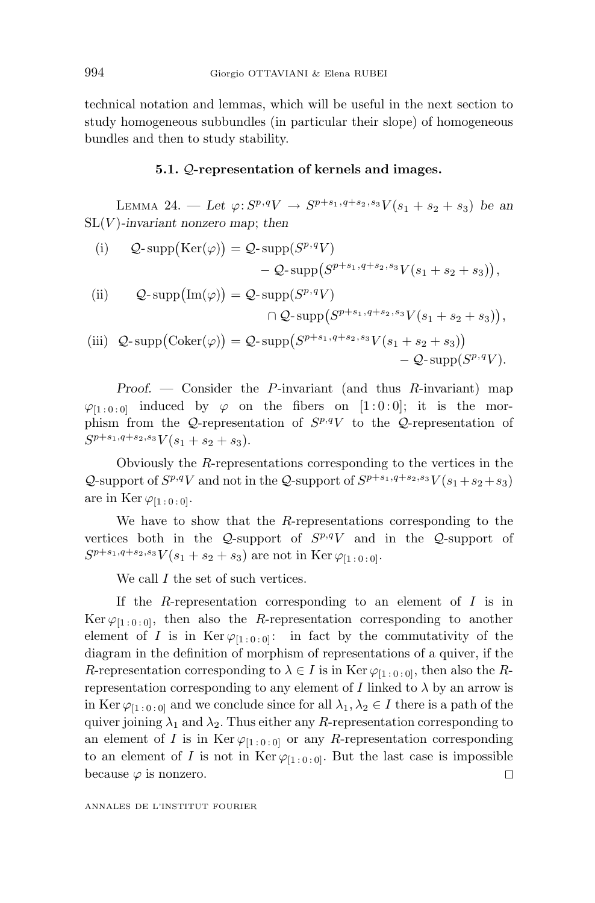technical notation and lemmas, which will be useful in the next section to study homogeneous subbundles (in particular their slope) of homogeneous bundles and then to study stability.

#### **5.1.** Q**-representation of kernels and images.**

LEMMA 24. — Let  $\varphi: S^{p,q}V \to S^{p+s_1,q+s_2,s_3}V(s_1+s_2+s_3)$  be an SL(*V* )*-invariant nonzero map*; *then*

(i) 
$$
Q\text{-}supp(\text{Ker}(\varphi)) = Q\text{-}supp(S^{p,q}V)
$$
  
\n $-Q\text{-}supp(S^{p+s_1,q+s_2,s_3}V(s_1+s_2+s_3)),$   
\n(ii)  $Q = (S^{p,q}V)$ 

(ii) 
$$
Q\text{-}supp(\text{Im}(\varphi)) = Q\text{-}supp(S^{p,q}V)
$$

$$
\bigcap Q\text{-}supp(S^{p+s_1,q+s_2,s_3}V(s_1+s_2+s_3)),
$$

$$
\bigcap \bigcap \text{}supp(S^{p+s_1,q+s_2,s_3}V(s_1+s_2+s_3)),
$$

(iii) 
$$
Q\text{-}supp(Coker(\varphi)) = Q\text{-}supp(S^{p+s_1,q+s_2,s_3}V(s_1+s_2+s_3))
$$
  
  $-Q\text{-}supp(S^{p,q}V).$ 

*Proof.* — Consider the *P*-invariant (and thus *R*-invariant) map  $\varphi_{[1:0:0]}$  induced by  $\varphi$  on the fibers on [1:0:0]; it is the morphism from the Q-representation of  $S^{p,q}V$  to the Q-representation of  $S^{p+s_1,q+s_2,s_3}V(s_1+s_2+s_3).$ 

Obviously the *R*-representations corresponding to the vertices in the Q-support of  $S^{p,q}V$  and not in the Q-support of  $S^{p+s_1,q+s_2,s_3}V(s_1+s_2+s_3)$ are in Ker  $\varphi_{[1:0:0]}$ .

We have to show that the *R*-representations corresponding to the vertices both in the  $Q$ -support of  $S^{p,q}V$  and in the  $Q$ -support of  $S^{p+s_1,q+s_2,s_3}V(s_1+s_2+s_3)$  are not in Ker  $\varphi_{[1:0:0]}$ .

We call *I* the set of such vertices.

If the *R*-representation corresponding to an element of *I* is in Ker  $\varphi_{[1:0:0]}$ , then also the *R*-representation corresponding to another element of *I* is in Ker  $\varphi_{[1:0:0]}$ : in fact by the commutativity of the diagram in the definition of morphism of representations of a quiver, if the *R*-representation corresponding to  $\lambda \in I$  is in Ker  $\varphi_{[1:0:0]}$ , then also the *R*representation corresponding to any element of *I* linked to  $\lambda$  by an arrow is in Ker  $\varphi_{[1:0:0]}$  and we conclude since for all  $\lambda_1, \lambda_2 \in I$  there is a path of the quiver joining  $\lambda_1$  and  $\lambda_2$ . Thus either any *R*-representation corresponding to an element of *I* is in Ker  $\varphi_{[1:0:0]}$  or any *R*-representation corresponding to an element of *I* is not in Ker  $\varphi_{[1:0:0]}$ . But the last case is impossible because  $\varphi$  is nonzero.  $\Box$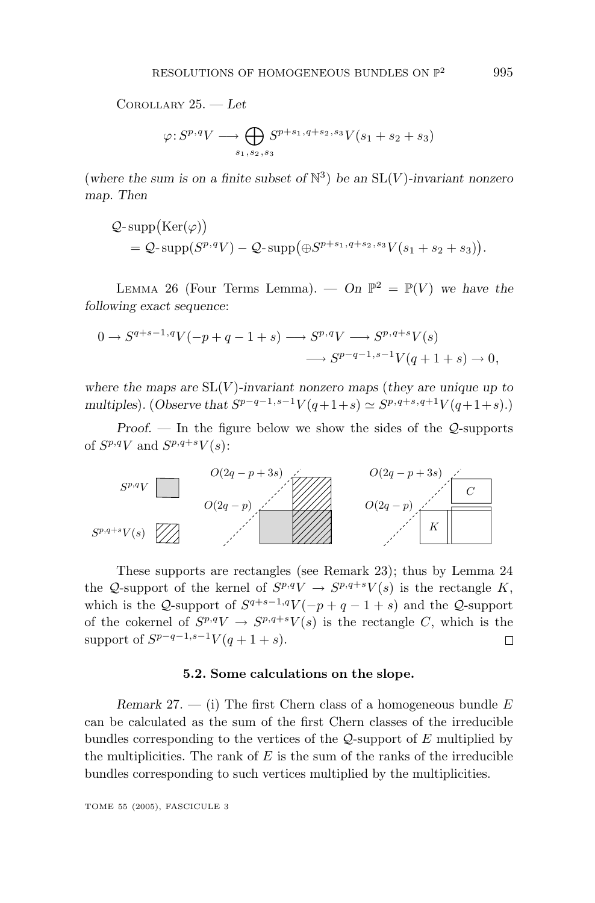COROLLARY 25. — *Let*

$$
\varphi: S^{p,q}V \longrightarrow \bigoplus_{s_1, s_2, s_3} S^{p+s_1, q+s_2, s_3}V(s_1+s_2+s_3)
$$

(where the sum is on a finite subset of  $\mathbb{N}^3$ ) be an  $SL(V)$ *-invariant nonzero map. Then*

$$
Q\text{-}\operatorname{supp}(\operatorname{Ker}(\varphi))
$$
  
=  $Q\text{-}\operatorname{supp}(S^{p,q}V) - Q\text{-}\operatorname{supp}(\oplus S^{p+s_1,q+s_2,s_3}V(s_1+s_2+s_3)).$ 

LEMMA 26 (Four Terms Lemma). — On  $\mathbb{P}^2 = \mathbb{P}(V)$  we have the *following exact sequence*:

$$
0 \to S^{q+s-1,q}V(-p+q-1+s) \longrightarrow S^{p,q}V \longrightarrow S^{p,q+s}V(s)
$$
  

$$
\longrightarrow S^{p-q-1,s-1}V(q+1+s) \to 0,
$$

*where the maps are* SL(*V* )*-invariant nonzero maps* (*they are unique up to multiples*)*.* (*Observe that*  $S^{p-q-1,s-1}V(q+1+s) \simeq S^{p,q+s,q+1}V(q+1+s)$ *.*)

*Proof.* — In the figure below we show the sides of the  $Q$ -supports of  $S^{p,q}V$  and  $S^{p,q+s}V(s)$ :



These supports are rectangles (see Remark 23); thus by Lemma 24 the Q-support of the kernel of  $S^{p,q}V \to S^{p,q+s}V(s)$  is the rectangle K, which is the Q-support of  $S^{q+s-1,q}V(-p+q-1+s)$  and the Q-support of the cokernel of  $S^{p,q}V \to S^{p,q+s}V(s)$  is the rectangle *C*, which is the support of  $S^{p-q-1,s-1}V(q+1+s)$ . Π

#### **5.2. Some calculations on the slope.**

*Remark* 27. — (i) The first Chern class of a homogeneous bundle *E* can be calculated as the sum of the first Chern classes of the irreducible bundles corresponding to the vertices of the Q-support of *E* multiplied by the multiplicities. The rank of  $E$  is the sum of the ranks of the irreducible bundles corresponding to such vertices multiplied by the multiplicities.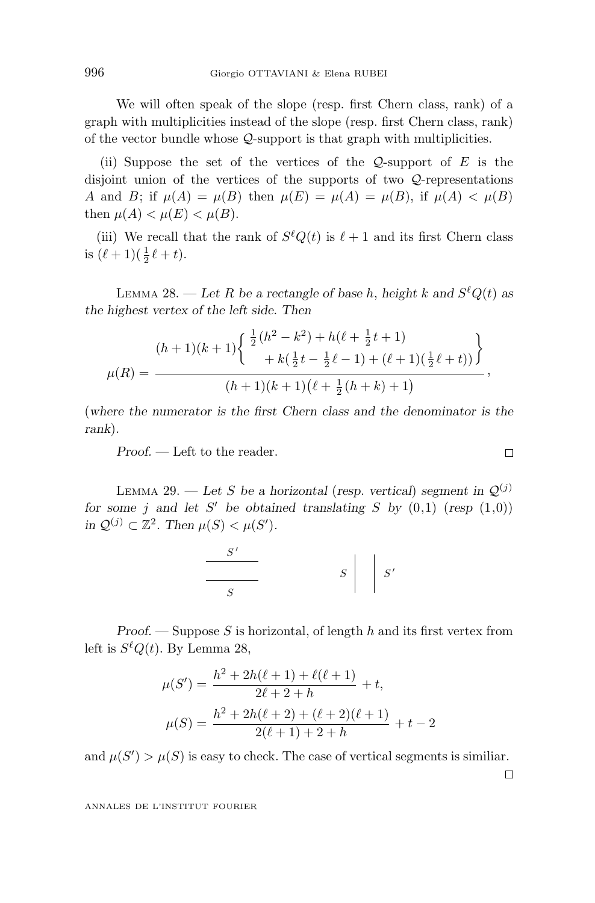We will often speak of the slope (resp. first Chern class, rank) of a graph with multiplicities instead of the slope (resp. first Chern class, rank) of the vector bundle whose Q-support is that graph with multiplicities.

(ii) Suppose the set of the vertices of the Q-support of *E* is the disjoint union of the vertices of the supports of two Q-representations *A* and *B*; if  $\mu(A) = \mu(B)$  then  $\mu(E) = \mu(A) = \mu(B)$ , if  $\mu(A) < \mu(B)$ then  $\mu(A) < \mu(E) < \mu(B)$ .

(iii) We recall that the rank of  $S^{\ell}Q(t)$  is  $\ell + 1$  and its first Chern class is  $(\ell + 1)(\frac{1}{2}\ell + t)$ .

LEMMA 28. — Let *R* be a rectangle of base *h*, height *k* and  $S^{\ell}Q(t)$  as *the highest vertex of the left side. Then*

$$
\mu(R) = \frac{(h+1)(k+1)\left\{\begin{array}{l}\frac{1}{2}(h^2 - k^2) + h(\ell + \frac{1}{2}t + 1) \\ + k(\frac{1}{2}t - \frac{1}{2}\ell - 1) + (\ell + 1)(\frac{1}{2}\ell + t))\end{array}\right\}}{(h+1)(k+1)(\ell + \frac{1}{2}(h+k) + 1)},
$$

(*where the numerator is the first Chern class and the denominator is the rank*)*.*

*Proof.* — Left to the reader.

LEMMA 29. — Let *S* be a horizontal (resp. vertical) segment in  $\mathcal{Q}^{(j)}$ *for some j* and let *S' be obtained translating S by*  $(0,1)$  (*resp*  $(1,0)$ ) *in*  $Q^{(j)}$  ⊂  $\mathbb{Z}^2$ *. Then*  $\mu(S) < \mu(S')$ *.* 

$$
\begin{array}{c|c}\nS' \\
\hline\nS\n\end{array}
$$
  $S \begin{array}{c|c}\n\end{array}$   $S'$ 

*Proof.* — Suppose *S* is horizontal, of length *h* and its first vertex from left is  $S^{\ell}Q(t)$ . By Lemma 28,

$$
\mu(S') = \frac{h^2 + 2h(\ell + 1) + \ell(\ell + 1)}{2\ell + 2 + h} + t,
$$
  

$$
\mu(S) = \frac{h^2 + 2h(\ell + 2) + (\ell + 2)(\ell + 1)}{2(\ell + 1) + 2 + h} + t - 2
$$

and  $\mu(S') > \mu(S)$  is easy to check. The case of vertical segments is similiar.

 $\Box$ 

$$
\Box
$$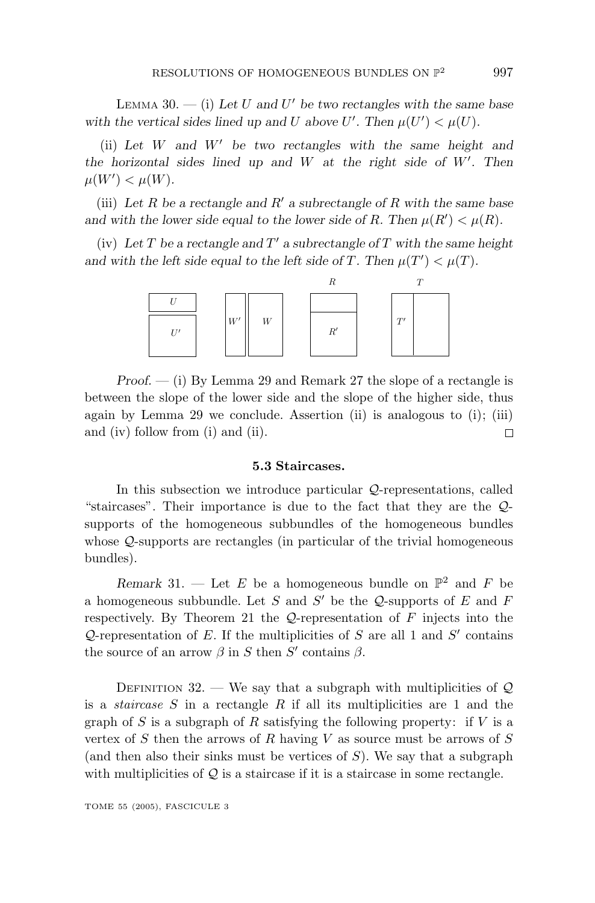LEMMA 30.  $-$  (i) Let *U* and *U'* be two rectangles with the same base *with the vertical sides lined up and U* above *U'*. Then  $\mu(U') < \mu(U)$ .

(ii) *Let W and W be two rectangles with the same height and the horizontal sides lined up and W at the right side of W . Then*  $\mu(W') < \mu(W)$ .

(iii) *Let R be a rectangle and R a subrectangle of R with the same base and with the lower side equal to the lower side of <i>R*. Then  $\mu(R') < \mu(R)$ .

(iv) Let  $T$  be a rectangle and  $T'$  a subrectangle of  $T$  with the same height *and with the left side equal to the left side of <i>T*. Then  $\mu(T') < \mu(T)$ .



*Proof.* — (i) By Lemma 29 and Remark 27 the slope of a rectangle is between the slope of the lower side and the slope of the higher side, thus again by Lemma 29 we conclude. Assertion (ii) is analogous to (i); (iii) and (iv) follow from (i) and (ii).  $\Box$ 

#### **5.3 Staircases.**

In this subsection we introduce particular  $\mathcal{Q}$ -representations, called "staircases". Their importance is due to the fact that they are the Qsupports of the homogeneous subbundles of the homogeneous bundles whose Q-supports are rectangles (in particular of the trivial homogeneous bundles).

*Remark* 31. — Let *E* be a homogeneous bundle on  $\mathbb{P}^2$  and *F* be a homogeneous subbundle. Let  $S$  and  $S'$  be the  $Q$ -supports of  $E$  and  $F$ respectively. By Theorem 21 the Q-representation of *F* injects into the Q-representation of  $E$ . If the multiplicities of  $S$  are all 1 and  $S'$  contains the source of an arrow  $\beta$  in *S* then *S'* contains  $\beta$ .

DEFINITION 32. — We say that a subgraph with multiplicities of  $\mathcal{Q}$ is a staircase *S* in a rectangle *R* if all its multiplicities are 1 and the graph of *S* is a subgraph of *R* satisfying the following property: if *V* is a vertex of *S* then the arrows of *R* having *V* as source must be arrows of *S* (and then also their sinks must be vertices of *S*). We say that a subgraph with multiplicities of  $\mathcal{Q}$  is a staircase if it is a staircase in some rectangle.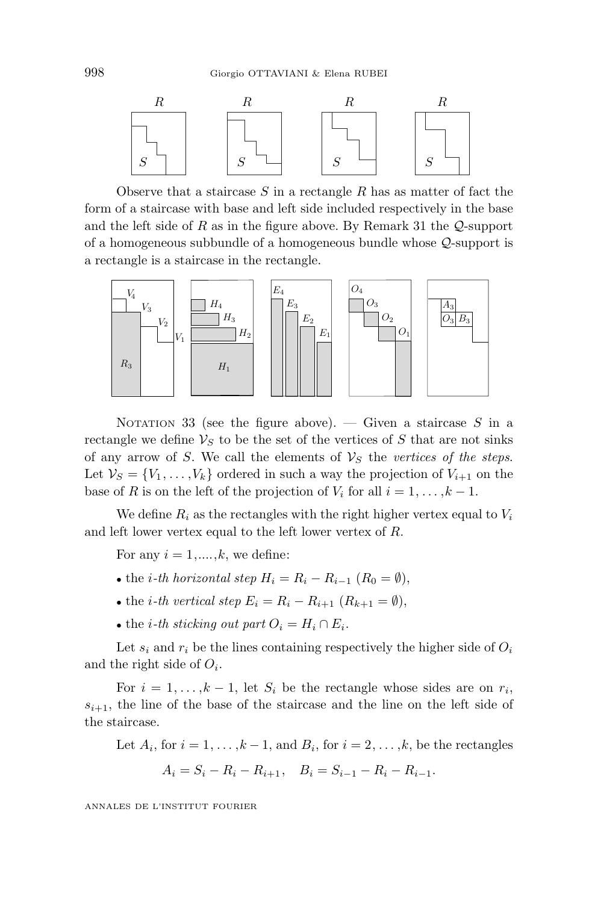

Observe that a staircase *S* in a rectangle *R* has as matter of fact the form of a staircase with base and left side included respectively in the base and the left side of *R* as in the figure above. By Remark 31 the Q-support of a homogeneous subbundle of a homogeneous bundle whose Q-support is a rectangle is a staircase in the rectangle.



NOTATION 33 (see the figure above). — Given a staircase *S* in a rectangle we define  $V_S$  to be the set of the vertices of  $S$  that are not sinks of any arrow of *S*. We call the elements of  $V<sub>S</sub>$  the vertices of the steps. Let  $V_S = \{V_1, \ldots, V_k\}$  ordered in such a way the projection of  $V_{i+1}$  on the base of *R* is on the left of the projection of  $V_i$  for all  $i = 1, \ldots, k - 1$ .

We define  $R_i$  as the rectangles with the right higher vertex equal to  $V_i$ and left lower vertex equal to the left lower vertex of *R*.

For any  $i = 1, \ldots, k$ , we define:

- the *i*-th horizontal step  $H_i = R_i R_{i-1}$  ( $R_0 = \emptyset$ ),
- the *i*-th vertical step  $E_i = R_i R_{i+1}$   $(R_{k+1} = \emptyset)$ ,
- the *i*-th sticking out part  $O_i = H_i \cap E_i$ .

Let  $s_i$  and  $r_i$  be the lines containing respectively the higher side of  $O_i$ and the right side of *Oi*.

For  $i = 1, \ldots, k - 1$ , let  $S_i$  be the rectangle whose sides are on  $r_i$ ,  $s_{i+1}$ , the line of the base of the staircase and the line on the left side of the staircase.

Let  $A_i$ , for  $i = 1, \ldots, k - 1$ , and  $B_i$ , for  $i = 2, \ldots, k$ , be the rectangles

$$
A_i = S_i - R_i - R_{i+1}, \quad B_i = S_{i-1} - R_i - R_{i-1}.
$$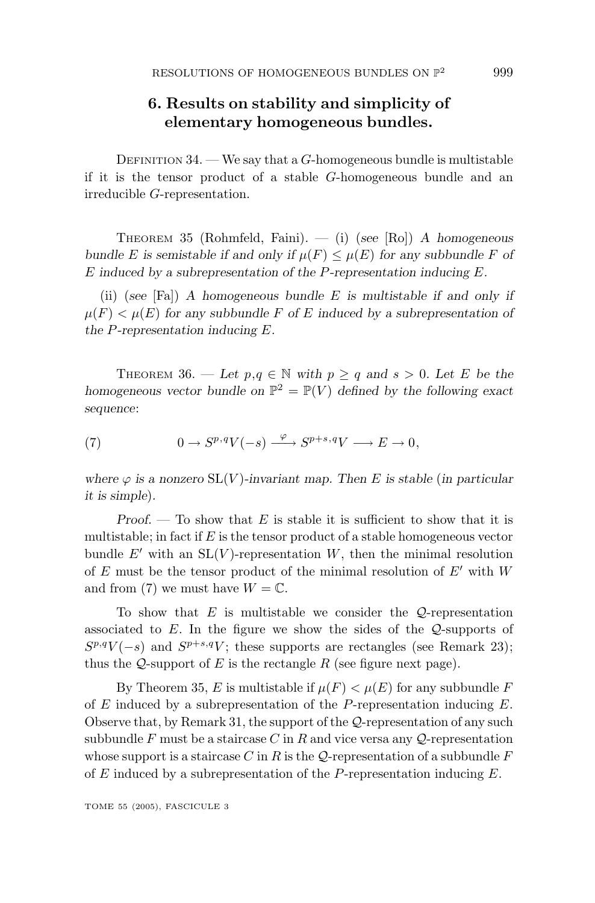# **6. Results on stability and simplicity of elementary homogeneous bundles.**

DEFINITION 34. — We say that a *G*-homogeneous bundle is multistable if it is the tensor product of a stable *G*-homogeneous bundle and an irreducible *G*-representation.

THEOREM 35 (Rohmfeld, Faini). — (i) (*see* [Ro]) *Ahomogeneous bundle E* is semistable if and only if  $\mu(F) \leq \mu(E)$  for any subbundle *F* of *E induced by a subrepresentation of the P-representation inducing E.*

(ii) (*see* [Fa]) *A* homogeneous bundle *E* is multistable if and only if  $\mu(F) < \mu(E)$  for any subbundle F of E induced by a subrepresentation of *the P-representation inducing E.*

THEOREM 36. — Let  $p, q \in \mathbb{N}$  with  $p \ge q$  and  $s > 0$ . Let E be the *homogeneous vector bundle on*  $\mathbb{P}^2 = \mathbb{P}(V)$  *defined by the following exact sequence*:

(7)  $0 \to S^{p,q}V(-s) \xrightarrow{\varphi} S^{p+s,q}V \longrightarrow E \to 0,$ 

*where*  $\varphi$  *is a nonzero*  $SL(V)$ *-invariant map. Then E is stable* (*in particular it is simple*)*.*

*Proof.* — To show that *E* is stable it is sufficient to show that it is multistable; in fact if *E* is the tensor product of a stable homogeneous vector bundle  $E'$  with an  $SL(V)$ -representation  $W$ , then the minimal resolution of *E* must be the tensor product of the minimal resolution of *E* with *W* and from (7) we must have  $W = \mathbb{C}$ .

To show that  $E$  is multistable we consider the  $Q$ -representation associated to *E*. In the figure we show the sides of the Q-supports of  $S^{p,q}V(-s)$  and  $S^{p+s,q}V$ ; these supports are rectangles (see Remark 23); thus the  $Q$ -support of  $E$  is the rectangle  $R$  (see figure next page).

By Theorem 35, *E* is multistable if  $\mu(F) < \mu(E)$  for any subbundle *F* of *E* induced by a subrepresentation of the *P*-representation inducing *E*. Observe that, by Remark 31, the support of the Q-representation of any such subbundle  $F$  must be a staircase  $C$  in  $R$  and vice versa any  $Q$ -representation whose support is a staircase *C* in *R* is the Q-representation of a subbundle *F* of *E* induced by a subrepresentation of the *P*-representation inducing *E*.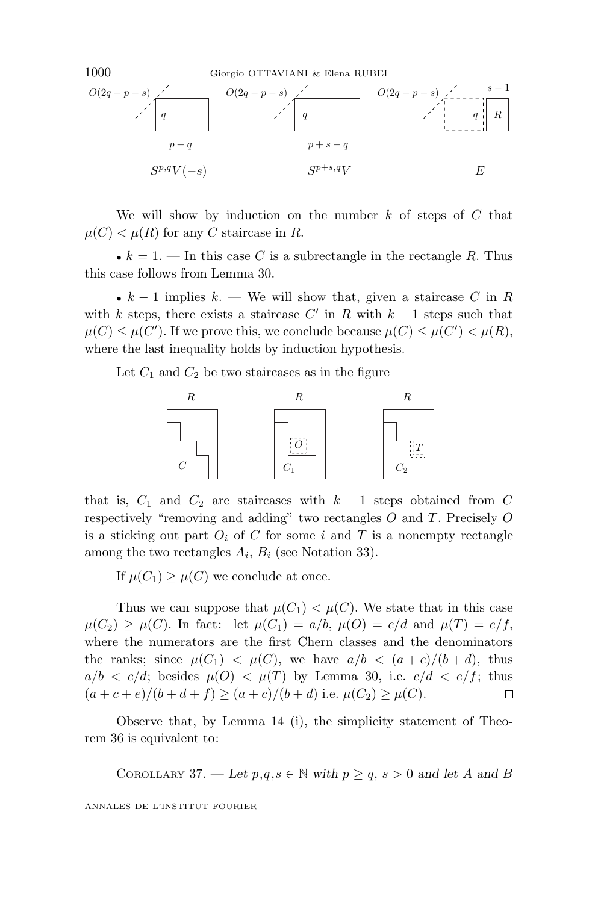

We will show by induction on the number *k* of steps of *C* that  $\mu(C) < \mu(R)$  for any *C* staircase in *R*.

•  $k = 1$ . — In this case *C* is a subrectangle in the rectangle *R*. Thus this case follows from Lemma 30.

•  $k-1$  implies  $k = W$ e will show that, given a staircase  $C$  in  $R$ with *k* steps, there exists a staircase  $C'$  in  $R$  with  $k-1$  steps such that  $\mu(C) \leq \mu(C')$ . If we prove this, we conclude because  $\mu(C) \leq \mu(C') < \mu(R)$ , where the last inequality holds by induction hypothesis.

Let  $C_1$  and  $C_2$  be two staircases as in the figure



that is,  $C_1$  and  $C_2$  are staircases with  $k-1$  steps obtained from  $C$ respectively "removing and adding" two rectangles *O* and *T*. Precisely *O* is a sticking out part  $O_i$  of  $C$  for some  $i$  and  $T$  is a nonempty rectangle among the two rectangles  $A_i$ ,  $B_i$  (see Notation 33).

If  $\mu(C_1) \geq \mu(C)$  we conclude at once.

Thus we can suppose that  $\mu(C_1) < \mu(C)$ . We state that in this case  $\mu(C_2) \geq \mu(C)$ . In fact: let  $\mu(C_1) = a/b$ ,  $\mu(O) = c/d$  and  $\mu(T) = e/f$ , where the numerators are the first Chern classes and the denominators the ranks; since  $\mu(C_1) < \mu(C)$ , we have  $a/b < (a+c)/(b+d)$ , thus  $a/b < c/d$ ; besides  $\mu(O) < \mu(T)$  by Lemma 30, i.e.  $c/d < e/f$ ; thus  $(a + c + e)/(b + d + f) \ge (a + c)/(b + d)$  i.e.  $\mu(C_2) \ge \mu(C)$ . 口

Observe that, by Lemma 14 (i), the simplicity statement of Theorem 36 is equivalent to:

COROLLARY 37. — Let  $p,q,s \in \mathbb{N}$  with  $p \ge q, s > 0$  and let A and B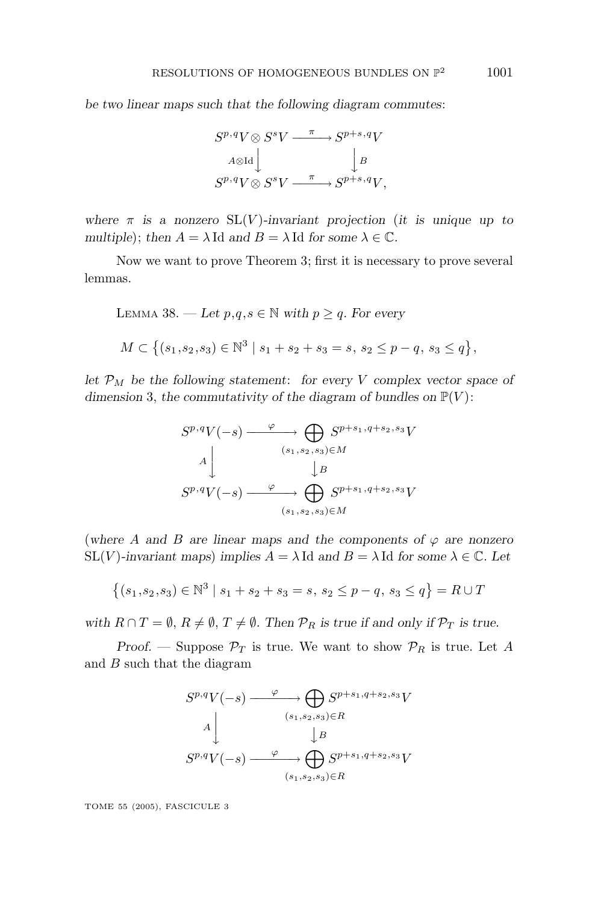*be two linear maps such that the following diagram commutes*:

$$
S^{p,q}V \otimes S^{s}V \xrightarrow{\pi} S^{p+s,q}V
$$

$$
A \otimes \text{Id} \downarrow B
$$

$$
S^{p,q}V \otimes S^{s}V \xrightarrow{\pi} S^{p+s,q}V,
$$

*where*  $\pi$  *is a nonzero*  $SL(V)$ *-invariant projection* (*it is unique up to multiple*); *then*  $A = \lambda$  Id *and*  $B = \lambda$  Id *for some*  $\lambda \in \mathbb{C}$ *.* 

Now we want to prove Theorem 3; first it is necessary to prove several lemmas.

LEMMA 38. — Let 
$$
p, q, s \in \mathbb{N}
$$
 with  $p \ge q$ . For every  
\n $M \subset \{(s_1, s_2, s_3) \in \mathbb{N}^3 \mid s_1 + s_2 + s_3 = s, s_2 \le p - q, s_3 \le q\},\$ 

*let*  $\mathcal{P}_M$  *be the following statement: for every V complex vector space of dimension* 3, the commutativity of the diagram of bundles on  $\mathbb{P}(V)$ :

$$
S^{p,q}V(-s) \xrightarrow{\varphi} \bigoplus_{(s_1, s_2, s_3) \in M} S^{p+s_1, q+s_2, s_3}V
$$
  
\n
$$
A \downarrow \qquad \qquad \downarrow B
$$
  
\n
$$
S^{p,q}V(-s) \xrightarrow{\varphi} \bigoplus_{(s_1, s_2, s_3) \in M} S^{p+s_1, q+s_2, s_3}V
$$

(where *A* and *B* are linear maps and the components of  $\varphi$  are nonzero SL(*V*)-invariant maps) implies  $A = \lambda$  Id and  $B = \lambda$  Id for some  $\lambda \in \mathbb{C}$ . Let

$$
\{(s_1, s_2, s_3) \in \mathbb{N}^3 \mid s_1 + s_2 + s_3 = s, \ s_2 \le p - q, \ s_3 \le q\} = R \cup T
$$

*with*  $R \cap T = \emptyset$ ,  $R \neq \emptyset$ ,  $T \neq \emptyset$ . Then  $\mathcal{P}_R$  *is true if and only if*  $\mathcal{P}_T$  *is true.* 

*Proof.* — Suppose  $\mathcal{P}_T$  is true. We want to show  $\mathcal{P}_R$  is true. Let A and *B* such that the diagram

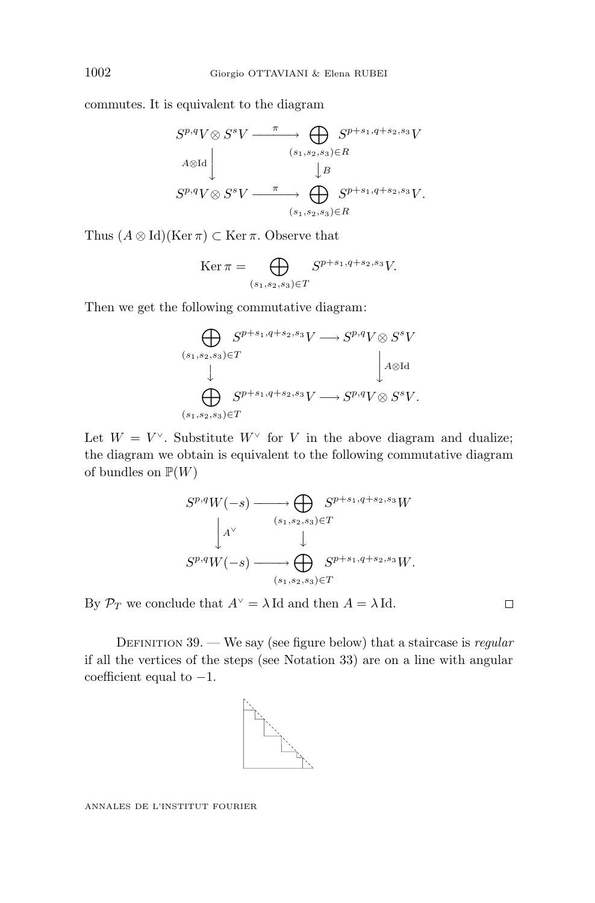commutes. It is equivalent to the diagram

$$
S^{p,q}V \otimes S^{s}V \xrightarrow{\pi} \bigoplus_{(s_1, s_2, s_3) \in R} S^{p+s_1, q+s_2, s_3}V
$$
  

$$
A \otimes \text{Id} \downarrow B
$$
  

$$
S^{p,q}V \otimes S^{s}V \xrightarrow{\pi} \bigoplus_{(s_1, s_2, s_3) \in R} S^{p+s_1, q+s_2, s_3}V.
$$

Thus  $(A \otimes \text{Id})(\text{Ker } \pi) \subset \text{Ker } \pi$ . Observe that

$$
\text{Ker}\,\pi = \bigoplus_{(s_1, s_2, s_3) \in T} S^{p+s_1, q+s_2, s_3} V.
$$

Then we get the following commutative diagram:

$$
\bigoplus_{(s_1, s_2, s_3) \in T} S^{p+s_1, q+s_2, s_3}V \longrightarrow S^{p,q}V \otimes S^s V
$$
  
\n
$$
\bigcup_{(s_1, s_2, s_3) \in T} S^{p+s_1, q+s_2, s_3}V \longrightarrow S^{p,q}V \otimes S^s V.
$$

Let  $W = V^{\vee}$ . Substitute  $W^{\vee}$  for *V* in the above diagram and dualize; the diagram we obtain is equivalent to the following commutative diagram of bundles on  $\mathbb{P}(W)$ 

$$
S^{p,q}W(-s) \longrightarrow \bigoplus_{(s_1,s_2,s_3)\in T} S^{p+s_1,q+s_2,s_3}W
$$
  
\n
$$
\downarrow^{A^{\vee}} \qquad \qquad \downarrow^{A^{\vee}} \qquad \qquad \downarrow^{A^{\vee}}
$$
  
\n
$$
S^{p,q}W(-s) \longrightarrow \bigoplus_{(s_1,s_2,s_3)\in T} S^{p+s_1,q+s_2,s_3}W.
$$

By  $\mathcal{P}_T$  we conclude that  $A^\vee = \lambda$  Id and then  $A = \lambda$  Id.

DEFINITION  $39.$  — We say (see figure below) that a staircase is regular if all the vertices of the steps (see Notation 33) are on a line with angular coefficient equal to  $-1$ .



ANNALES DE L'INSTITUT FOURIER

 $\Box$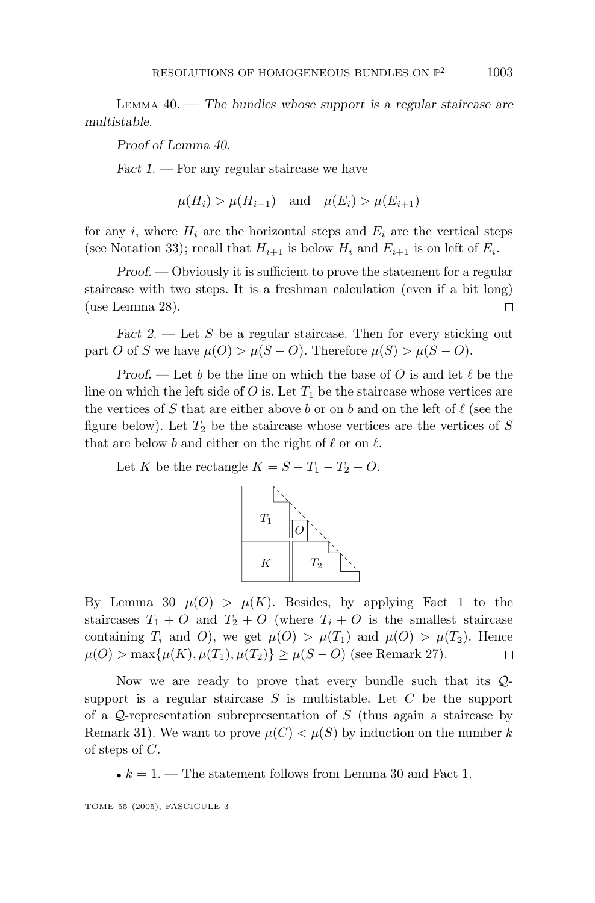LEMMA 40. — *The bundles whose support is a regular staircase are multistable.*

*Proof of Lemma 40.*

*Fact 1*. — For any regular staircase we have

$$
\mu(H_i) > \mu(H_{i-1}) \quad \text{and} \quad \mu(E_i) > \mu(E_{i+1})
$$

for any *i*, where  $H_i$  are the horizontal steps and  $E_i$  are the vertical steps (see Notation 33); recall that  $H_{i+1}$  is below  $H_i$  and  $E_{i+1}$  is on left of  $E_i$ .

*Proof.* — Obviously it is sufficient to prove the statement for a regular staircase with two steps. It is a freshman calculation (even if a bit long) (use Lemma 28).  $\Box$ 

*Fact 2.* — Let *S* be a regular staircase. Then for every sticking out part *O* of *S* we have  $\mu(O) > \mu(S - O)$ . Therefore  $\mu(S) > \mu(S - O)$ .

*Proof.* — Let *b* be the line on which the base of *O* is and let  $\ell$  be the line on which the left side of  $O$  is. Let  $T_1$  be the staircase whose vertices are the vertices of *S* that are either above *b* or on *b* and on the left of  $\ell$  (see the figure below). Let  $T_2$  be the staircase whose vertices are the vertices of  $S$ that are below *b* and either on the right of  $\ell$  or on  $\ell$ .

Let *K* be the rectangle  $K = S - T_1 - T_2 - O$ .



By Lemma 30  $\mu(O) > \mu(K)$ . Besides, by applying Fact 1 to the staircases  $T_1 + O$  and  $T_2 + O$  (where  $T_i + O$  is the smallest staircase containing  $T_i$  and  $O$ ), we get  $\mu(O) > \mu(T_1)$  and  $\mu(O) > \mu(T_2)$ . Hence  $\mu(O)$  > max{ $\mu(K), \mu(T_1), \mu(T_2)$ } ≥  $\mu(S - O)$  (see Remark 27).  $\Box$ 

Now we are ready to prove that every bundle such that its Qsupport is a regular staircase *S* is multistable. Let *C* be the support of a Q-representation subrepresentation of *S* (thus again a staircase by Remark 31). We want to prove  $\mu(C) < \mu(S)$  by induction on the number k of steps of *C*.

•  $k = 1$ . — The statement follows from Lemma 30 and Fact 1.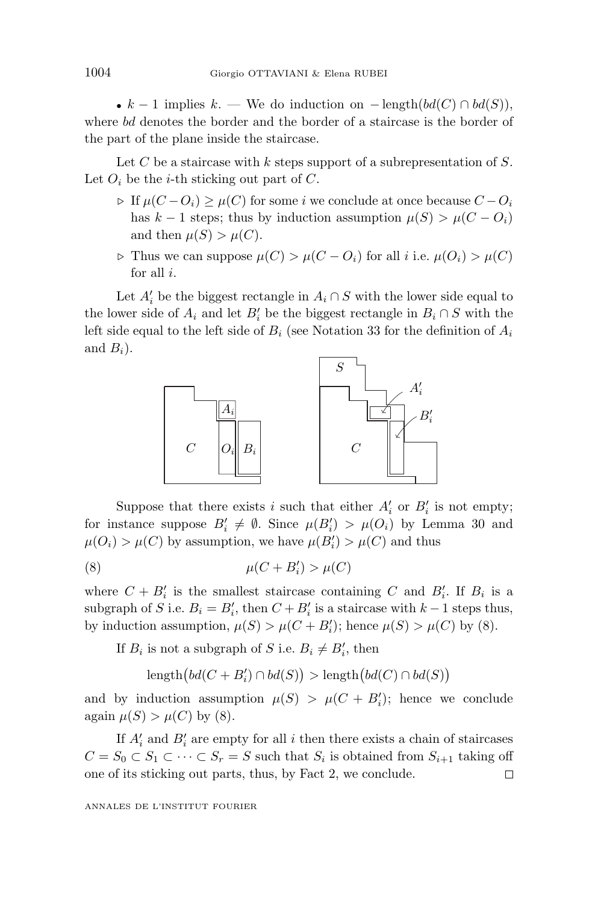•  $k-1$  implies  $k.$  — We do induction on  $-\text{length}(bd(C) \cap bd(S)),$ where *bd* denotes the border and the border of a staircase is the border of the part of the plane inside the staircase.

Let *C* be a staircase with *k* steps support of a subrepresentation of *S*. Let  $O_i$  be the *i*-th sticking out part of  $C$ .

- *⊳* If  $\mu$ (*C* − *O*<sub>*i*</sub>) ≥  $\mu$ (*C*) for some *i* we conclude at once because *C* − *O*<sub>*i*</sub> has  $k - 1$  steps; thus by induction assumption  $\mu(S) > \mu(C - O_i)$ and then  $\mu(S) > \mu(C)$ .
- *⊳* Thus we can suppose  $\mu$ (*C*) *>*  $\mu$ (*C* − *O*<sub>*i*</sub>) for all *i* i.e.  $\mu$ (*O*<sub>*i*</sub>) *>*  $\mu$ (*C*) for all *i*.

Let  $A_i'$  be the biggest rectangle in  $A_i \cap S$  with the lower side equal to the lower side of  $A_i$  and let  $B'_i$  be the biggest rectangle in  $B_i \cap S$  with the left side equal to the left side of  $B_i$  (see Notation 33 for the definition of  $A_i$ and  $B_i$ ).



Suppose that there exists *i* such that either  $A_i'$  or  $B_i'$  is not empty; for instance suppose  $B'_i \neq \emptyset$ . Since  $\mu(B'_i) > \mu(O_i)$  by Lemma 30 and  $\mu(O_i) > \mu(C)$  by assumption, we have  $\mu(B_i') > \mu(C)$  and thus

$$
\mu(C + B_i') > \mu(C)
$$

where  $C + B'_i$  is the smallest staircase containing *C* and  $B'_i$ . If  $B_i$  is a subgraph of *S* i.e.  $B_i = B'_i$ , then  $C + B'_i$  is a staircase with  $k - 1$  steps thus, by induction assumption,  $\mu(S) > \mu(C + B_i')$ ; hence  $\mu(S) > \mu(C)$  by (8).

If  $B_i$  is not a subgraph of *S* i.e.  $B_i \neq B'_i$ , then

 $\text{length}\big(bd(C+B'_i)\cap bd(S)\big) > \text{length}\big(bd(C)\cap bd(S)\big)$ 

and by induction assumption  $\mu(S) > \mu(C + B_i')$ ; hence we conclude again  $\mu(S) > \mu(C)$  by (8).

If  $A'_i$  and  $B'_i$  are empty for all  $i$  then there exists a chain of staircases *C* = *S*<sup>0</sup> ⊂ *S*<sup>1</sup> ⊂ ··· ⊂ *S*<sup>*r*</sup> = *S* such that *S*<sup>*i*</sup> is obtained from *S*<sup>*i*+1</sup> taking off one of its sticking out parts, thus, by Fact 2, we conclude.  $\Box$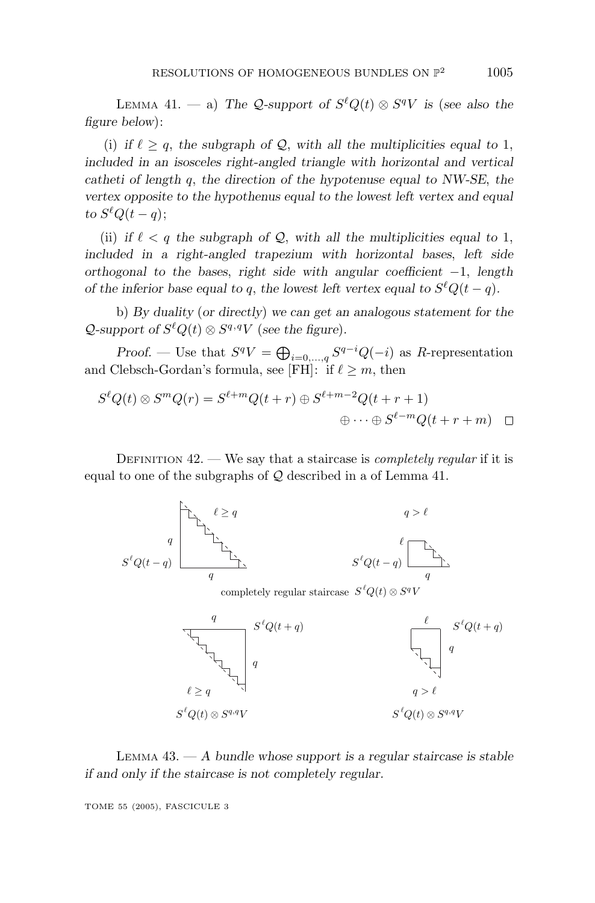LEMMA 41. — a) The Q-support of  $S^{\ell}Q(t) \otimes S^{q}V$  is (see also the *figure below*):

(i) if  $\ell \geq q$ , the subgraph of  $\mathcal{Q}$ , with all the multiplicities equal to 1, *included in an isosceles right-angled triangle with horizontal and vertical catheti of length q*, *the direction of the hypotenuse equal to NW-SE*, *the vertex opposite to the hypothenus equal to the lowest left vertex and equal*  $to S^{\ell}Q(t-q);$ 

(ii) if  $\ell < q$  the subgraph of Q, with all the multiplicities equal to 1, *included in a right-angled trapezium with horizontal bases*, *left side orthogonal to the bases*, *right side with angular coefficient* −1, *length of the inferior base equal to q, the lowest left vertex equal to*  $S^{\ell}Q(t-q)$ *.* 

b) *By duality* (*or directly*) *we can get an analogous statement for the*  $\mathcal{Q}$ -support of  $S^{\ell}Q(t) \otimes S^{q,q}V$  (see the figure).

*Proof.* — Use that  $S^qV = \bigoplus_{i=0,\dots,q} S^{q-i}Q(-i)$  as *R*-representation and Clebsch-Gordan's formula, see [FH]: if  $\ell \geq m$ , then

$$
S^{\ell}Q(t) \otimes S^{m}Q(r) = S^{\ell+m}Q(t+r) \oplus S^{\ell+m-2}Q(t+r+1)
$$
  

$$
\oplus \cdots \oplus S^{\ell-m}Q(t+r+m) \quad \Box
$$

DEFINITION  $42.$  — We say that a staircase is *completely regular* if it is equal to one of the subgraphs of  $Q$  described in a of Lemma 41.



*S*<sup>*t*</sup> $Q(t) \otimes S^{q}V$ 



LEMMA 43. — *Abundle whose support is a regular staircase is stable if and only if the staircase is not completely regular.*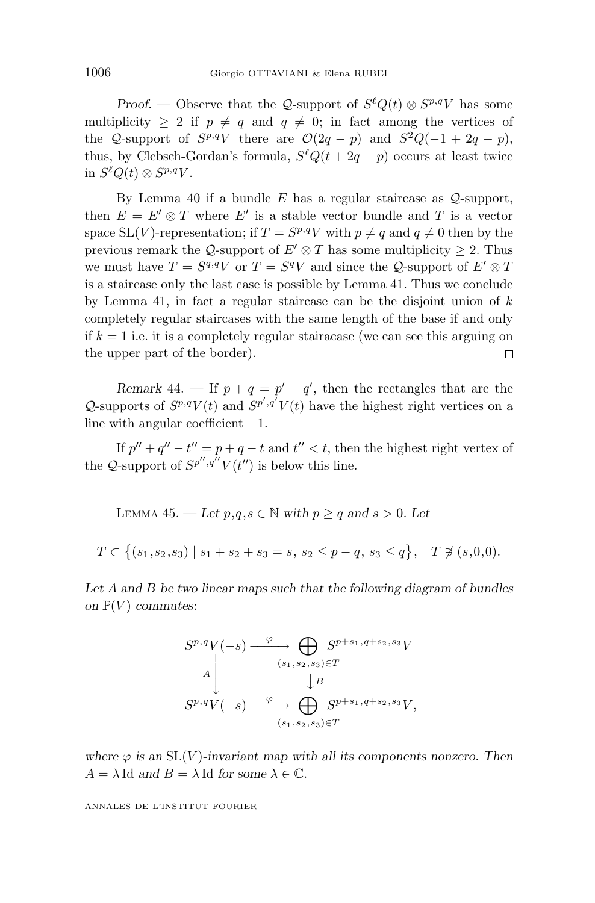*Proof.* — Observe that the Q-support of  $S^{\ell}Q(t) \otimes S^{p,q}V$  has some multiplicity  $> 2$  if  $p \neq q$  and  $q \neq 0$ ; in fact among the vertices of the Q-support of  $S^{p,q}V$  there are  $\mathcal{O}(2q - p)$  and  $S^2Q(-1 + 2q - p)$ , thus, by Clebsch-Gordan's formula,  $S^{\ell}Q(t + 2q - p)$  occurs at least twice in  $S<sup>ℓ</sup>Q(t) ⊗ S<sup>p,q</sup>V$ .

By Lemma 40 if a bundle *E* has a regular staircase as Q-support, then  $E = E' \otimes T$  where  $E'$  is a stable vector bundle and *T* is a vector space SL(*V*)-representation; if  $T = S^{p,q}V$  with  $p \neq q$  and  $q \neq 0$  then by the previous remark the Q-support of  $E' \otimes T$  has some multiplicity  $\geq 2$ . Thus we must have  $T = S^{q,q}V$  or  $T = S^{q}V$  and since the Q-support of  $E' \otimes T$ is a staircase only the last case is possible by Lemma 41. Thus we conclude by Lemma 41, in fact a regular staircase can be the disjoint union of *k* completely regular staircases with the same length of the base if and only if  $k = 1$  i.e. it is a completely regular stairacase (we can see this arguing on the upper part of the border).  $\Box$ 

*Remark* 44. — If  $p + q = p' + q'$ , then the rectangles that are the Q-supports of  $S^{p,q}V(t)$  and  $S^{p',q'}V(t)$  have the highest right vertices on a line with angular coefficient −1.

If  $p'' + q'' - t'' = p + q - t$  and  $t'' < t$ , then the highest right vertex of the Q-support of  $S^{p'',q''}V(t'')$  is below this line.

LEMMA 45. − Let  $p,q,s \in \mathbb{N}$  with  $p \geq q$  and  $s > 0$ . Let  $T \subset \{(s_1, s_2, s_3) \mid s_1 + s_2 + s_3 = s, s_2 \leq p - q, s_3 \leq q\}, \quad T \not\ni (s, 0, 0).$ 

*Let A and B be two linear maps such that the following diagram of bundles on*  $\mathbb{P}(V)$  *commutes:* 

$$
S^{p,q}V(-s) \xrightarrow{\varphi} \bigoplus_{(s_1,s_2,s_3)\in T} S^{p+s_1,q+s_2,s_3}V
$$
  
\n
$$
A \downarrow \qquad \qquad \downarrow B
$$
  
\n
$$
S^{p,q}V(-s) \xrightarrow{\varphi} \bigoplus_{(s_1,s_2,s_3)\in T} S^{p+s_1,q+s_2,s_3}V,
$$

*where*  $\varphi$  *is an* SL(*V*)*-invariant map with all its components nonzero. Then*  $A = \lambda \text{Id}$  *and*  $B = \lambda \text{Id}$  *for some*  $\lambda \in \mathbb{C}$ *.*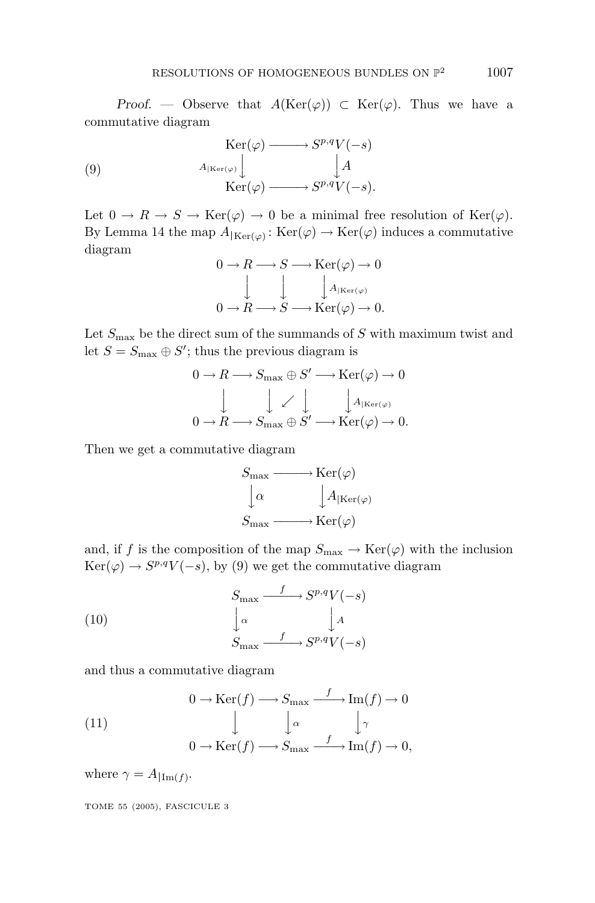*Proof.* — Observe that  $A(\text{Ker}(\varphi)) \subset \text{Ker}(\varphi)$ . Thus we have a commutative diagram

(9) 
$$
\operatorname{Ker}(\varphi) \longrightarrow S^{p,q}V(-s)
$$

$$
A_{|\operatorname{Ker}(\varphi)} \downarrow A
$$

$$
\operatorname{Ker}(\varphi) \longrightarrow S^{p,q}V(-s).
$$

Let  $0 \to R \to S \to \text{Ker}(\varphi) \to 0$  be a minimal free resolution of  $\text{Ker}(\varphi)$ . By Lemma 14 the map  $A_{Ker(\varphi)} : Ker(\varphi) \to Ker(\varphi)$  induces a commutative diagram

$$
0 \to R \longrightarrow S \longrightarrow \text{Ker}(\varphi) \to 0
$$

$$
\downarrow \qquad \qquad \downarrow \qquad \qquad \downarrow A_{|\text{Ker}(\varphi)} 0 \to R \longrightarrow S \longrightarrow \text{Ker}(\varphi) \to 0.
$$

Let  $S_{\text{max}}$  be the direct sum of the summands of *S* with maximum twist and let  $S = S_{\text{max}} \oplus S'$ ; thus the previous diagram is

$$
0 \to R \longrightarrow S_{\max} \oplus S' \longrightarrow \text{Ker}(\varphi) \to 0
$$

$$
\downarrow \qquad \qquad \downarrow \qquad \qquad \downarrow A_{|\text{Ker}(\varphi)} \longrightarrow 0
$$

$$
0 \to R \longrightarrow S_{\max} \oplus S' \longrightarrow \text{Ker}(\varphi) \to 0.
$$

Then we get a commutative diagram

$$
S_{\max} \longrightarrow \text{Ker}(\varphi)
$$

$$
\downarrow \alpha \qquad \qquad \downarrow A_{|\text{Ker}(\varphi)}
$$

$$
S_{\max} \longrightarrow \text{Ker}(\varphi)
$$

and, if *f* is the composition of the map  $S_{\text{max}} \to \text{Ker}(\varphi)$  with the inclusion  $Ker(\varphi) \to S^{p,q}V(-s)$ , by (9) we get the commutative diagram

(10) 
$$
S_{\max} \xrightarrow{f} S^{p,q} V(-s)
$$

$$
\downarrow^{\alpha} \qquad \qquad \downarrow^{\mathcal{A}} \qquad \downarrow^{\mathcal{A}}
$$

$$
S_{\max} \xrightarrow{f} S^{p,q} V(-s)
$$

and thus a commutative diagram

(11)  
\n
$$
\begin{array}{ccc}\n & 0 \to \text{Ker}(f) \longrightarrow S_{\text{max}} \xrightarrow{f} \text{Im}(f) \to 0 \\
 & \downarrow^{\alpha} & \downarrow^{\gamma} \\
0 \to \text{Ker}(f) \longrightarrow S_{\text{max}} \xrightarrow{f} \text{Im}(f) \to 0,\n\end{array}
$$

where  $\gamma = A_{\text{Im}(f)}$ .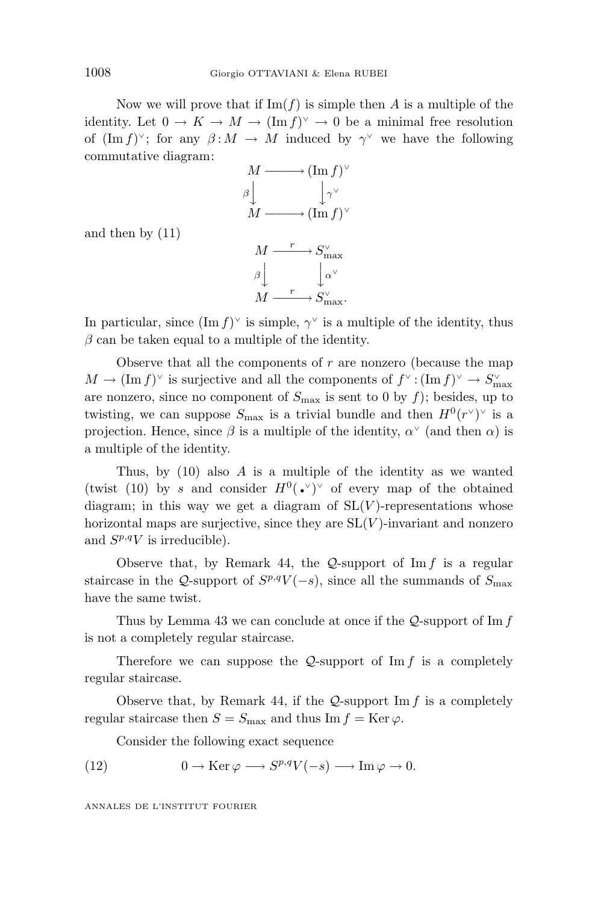Now we will prove that if  $\text{Im}(f)$  is simple then *A* is a multiple of the identity. Let  $0 \to K \to M \to (\text{Im } f)^{\vee} \to 0$  be a minimal free resolution of  $(\text{Im } f)^{\vee}$ ; for any  $\beta: M \to M$  induced by  $\gamma^{\vee}$  we have the following commutative diagram:



and then by (11)



In particular, since  $(\text{Im } f)^\vee$  is simple,  $\gamma^\vee$  is a multiple of the identity, thus  $\beta$  can be taken equal to a multiple of the identity.

Observe that all the components of *r* are nonzero (because the map  $M \to (\text{Im } f)^\vee$  is surjective and all the components of  $f^\vee : (\text{Im } f)^\vee \to S^{\vee}_{\text{max}}$ are nonzero, since no component of  $S_{\text{max}}$  is sent to 0 by  $f$ ); besides, up to twisting, we can suppose  $S_{\text{max}}$  is a trivial bundle and then  $H^0(r^{\vee})^{\vee}$  is a projection. Hence, since  $\beta$  is a multiple of the identity,  $\alpha^{\vee}$  (and then  $\alpha$ ) is a multiple of the identity.

Thus, by (10) also *A* is a multiple of the identity as we wanted (twist (10) by *s* and consider  $H^0(\cdot)^\vee$  of every map of the obtained diagram; in this way we get a diagram of  $SL(V)$ -representations whose horizontal maps are surjective, since they are  $SL(V)$ -invariant and nonzero and  $S^{p,q}V$  is irreducible).

Observe that, by Remark 44, the Q-support of Im *f* is a regular staircase in the  $Q$ -support of  $S^{p,q}V(-s)$ , since all the summands of  $S_{\text{max}}$ have the same twist.

Thus by Lemma 43 we can conclude at once if the Q-support of Im *f* is not a completely regular staircase.

Therefore we can suppose the  $Q$ -support of  $\text{Im } f$  is a completely regular staircase.

Observe that, by Remark 44, if the  $Q$ -support Im  $f$  is a completely regular staircase then  $S = S_{\text{max}}$  and thus Im  $f = \text{Ker } \varphi$ .

Consider the following exact sequence

(12) 
$$
0 \to \text{Ker}\,\varphi \longrightarrow S^{p,q}V(-s) \longrightarrow \text{Im}\,\varphi \to 0.
$$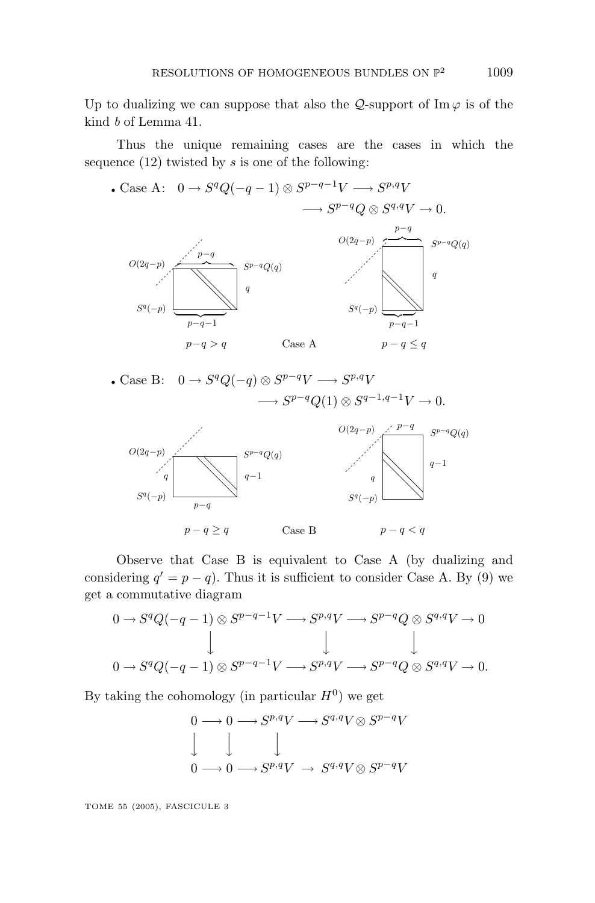Up to dualizing we can suppose that also the  $\mathcal{Q}$ -support of Im  $\varphi$  is of the kind b of Lemma 41.

Thus the unique remaining cases are the cases in which the sequence (12) twisted by *s* is one of the following:

• Case A:  $0 \rightarrow S^q Q(-q-1) \otimes S^{p-q-1} V \longrightarrow S^{p,q} V$  $\longrightarrow S^{p-q}Q \otimes S^{q,q}V \longrightarrow 0.$ *O*(2*q*−*p*) *O*(2*q*−*p*) *S<sup>p</sup>*−*<sup>q</sup>Q*(*q*) *S<sup>p</sup>*−*<sup>q</sup>Q*(*q*) *p*−*q p*−*q*  $S^q(-p)$   $\overline{\phantom{a}}$  *S<sup>q</sup>*(−*p*) *p*−*q*−1 *p*−*q*−1  $p-q > q$  Case A  $p-q \leq q$ *q q* Case A  $\overbrace{\hspace{27mm}}^{\overbrace{\hspace{25mm}}^{\overbrace{\hspace{25mm}}^{\overline{\hspace{2mm}}}}}}^{\overbrace{\hspace{25mm}}^{\overbrace{\hspace{25mm}}}}$  $\frac{1}{2}$  $p-q-1$ 

• Case B: 
$$
0 \to S^q Q(-q) \otimes S^{p-q} V \longrightarrow S^{p,q} V
$$
  
 $\longrightarrow S^{p-q} Q(1) \otimes S^{q-1,q-1} V \to 0.$ 



Observe that Case B is equivalent to Case A (by dualizing and considering  $q' = p - q$ ). Thus it is sufficient to consider Case A. By (9) we get a commutative diagram

$$
0 \to S^q Q(-q-1) \otimes S^{p-q-1}V \longrightarrow S^{p,q}V \longrightarrow S^{p-q}Q \otimes S^{q,q}V \to 0
$$
  
\n
$$
\downarrow \qquad \qquad \downarrow \qquad \qquad \downarrow
$$
  
\n
$$
0 \to S^q Q(-q-1) \otimes S^{p-q-1}V \longrightarrow S^{p,q}V \longrightarrow S^{p-q}Q \otimes S^{q,q}V \to 0.
$$

By taking the cohomology (in particular  $H^0$ ) we get

$$
\begin{array}{ccc}\n0 & \longrightarrow 0 \longrightarrow S^{p,q}V \longrightarrow S^{q,q}V \otimes S^{p-q}V \\
\downarrow & \downarrow & \downarrow \\
0 & \longrightarrow 0 \longrightarrow S^{p,q}V \longrightarrow S^{q,q}V \otimes S^{p-q}V\n\end{array}
$$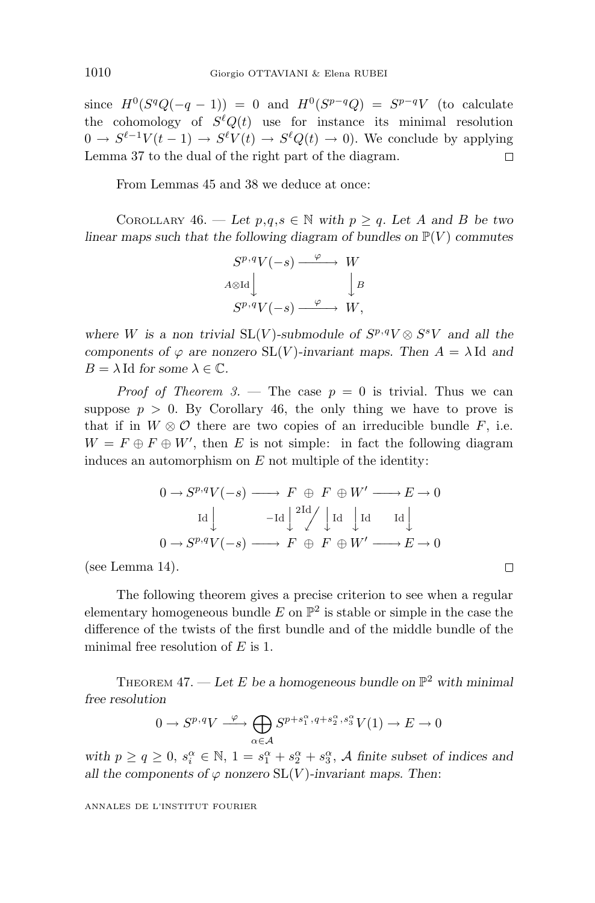since  $H^0(S^qQ(-q-1)) = 0$  and  $H^0(S^{p-q}Q) = S^{p-q}V$  (to calculate the cohomology of  $S^{\ell}Q(t)$  use for instance its minimal resolution  $0 \rightarrow S^{\ell-1}V(t-1) \rightarrow S^{\ell}V(t) \rightarrow S^{\ell}Q(t) \rightarrow 0$ ). We conclude by applying Lemma 37 to the dual of the right part of the diagram.  $\Box$ 

From Lemmas 45 and 38 we deduce at once:

COROLLARY 46. — Let  $p,q,s \in \mathbb{N}$  with  $p \geq q$ . Let A and B be two *linear maps such that the following diagram of bundles on*  $\mathbb{P}(V)$  *commutes* 

$$
S^{p,q}V(-s) \xrightarrow{\varphi} W
$$
  
\n
$$
A \otimes \text{Id} \downarrow \qquad \qquad \downarrow B
$$
  
\n
$$
S^{p,q}V(-s) \xrightarrow{\varphi} W,
$$

*where W* is a non trivial  $SL(V)$ *-submodule of*  $S^{p,q}V \otimes S^{s}V$  and all the *components of*  $\varphi$  *are nonzero* SL(*V*)*-invariant maps. Then*  $A = \lambda$ Id *and*  $B = \lambda \operatorname{Id}$  *for some*  $\lambda \in \mathbb{C}$ *.* 

*Proof of Theorem 3.* — The case  $p = 0$  is trivial. Thus we can suppose  $p > 0$ . By Corollary 46, the only thing we have to prove is that if in  $W \otimes \mathcal{O}$  there are two copies of an irreducible bundle *F*, i.e.  $W = F \oplus F \oplus W'$ , then *E* is not simple: in fact the following diagram induces an automorphism on *E* not multiple of the identity:

$$
0 \to S^{p,q}V(-s) \longrightarrow F \oplus F \oplus W' \longrightarrow E \to 0
$$
  
\n
$$
\text{Id} \downarrow \qquad -\text{Id} \downarrow \text{2Id} \downarrow \text{Id} \downarrow \text{Id} \downarrow
$$
  
\n
$$
0 \to S^{p,q}V(-s) \longrightarrow F \oplus F \oplus W' \longrightarrow E \to 0
$$

 $\Box$ 

(see Lemma 14).

The following theorem gives a precise criterion to see when a regular elementary homogeneous bundle  $E$  on  $\mathbb{P}^2$  is stable or simple in the case the difference of the twists of the first bundle and of the middle bundle of the minimal free resolution of *E* is 1.

THEOREM 47. — Let E be a homogeneous bundle on  $\mathbb{P}^2$  with minimal *free resolution*

$$
0 \to S^{p,q}V \xrightarrow{\varphi} \bigoplus_{\alpha \in \mathcal{A}} S^{p+s_1^{\alpha}, q+s_2^{\alpha}, s_3^{\alpha}} V(1) \to E \to 0
$$

*with*  $p \ge q \ge 0$ ,  $s_i^{\alpha} \in \mathbb{N}$ ,  $1 = s_1^{\alpha} + s_2^{\alpha} + s_3^{\alpha}$ , *A* finite subset of indices and *all the components of*  $\varphi$  *nonzero* SL(*V*)*-invariant maps. Then:*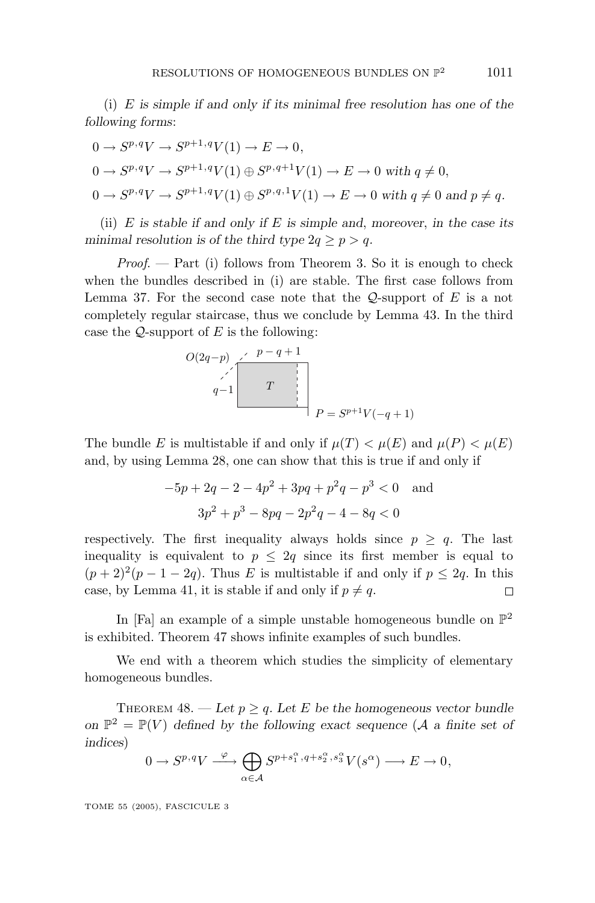(i) *E is simple if and only if its minimal free resolution has one of the following forms*:

$$
0 \to S^{p,q}V \to S^{p+1,q}V(1) \to E \to 0,
$$
  
\n
$$
0 \to S^{p,q}V \to S^{p+1,q}V(1) \oplus S^{p,q+1}V(1) \to E \to 0 \text{ with } q \neq 0,
$$
  
\n
$$
0 \to S^{p,q}V \to S^{p+1,q}V(1) \oplus S^{p,q,1}V(1) \to E \to 0 \text{ with } q \neq 0 \text{ and } p \neq q.
$$

(ii) *E is stable if and only if E is simple and*, *moreover*, *in the case its minimal resolution is of the third type*  $2q \geq p > q$ *.* 

*Proof.*  $\rightarrow$  Part (i) follows from Theorem 3. So it is enough to check when the bundles described in (i) are stable. The first case follows from Lemma 37. For the second case note that the Q-support of *E* is a not completely regular staircase, thus we conclude by Lemma 43. In the third case the Q-support of *E* is the following:

$$
O(2q-p) \begin{array}{c} p-q+1 \\ q-1 \end{array}
$$
  

$$
T
$$
  

$$
P = S^{p+1}V(-q+1)
$$

The bundle *E* is multistable if and only if  $\mu(T) < \mu(E)$  and  $\mu(P) < \mu(E)$ and, by using Lemma 28, one can show that this is true if and only if

$$
-5p + 2q - 2 - 4p2 + 3pq + p2q - p3 < 0
$$
 and  

$$
3p2 + p3 - 8pq - 2p2q - 4 - 8q < 0
$$

respectively. The first inequality always holds since  $p > q$ . The last inequality is equivalent to  $p \leq 2q$  since its first member is equal to  $(p+2)^2(p-1-2q)$ . Thus *E* is multistable if and only if  $p \le 2q$ . In this case, by Lemma 41, it is stable if and only if  $p \neq q$ .  $\Box$ 

In [Fa] an example of a simple unstable homogeneous bundle on  $\mathbb{P}^2$ is exhibited. Theorem 47 shows infinite examples of such bundles.

We end with a theorem which studies the simplicity of elementary homogeneous bundles.

THEOREM  $48.$  — Let  $p \geq q$ . Let E be the homogeneous vector bundle *on*  $\mathbb{P}^2 = \mathbb{P}(V)$  *defined by the following exact sequence* (*A a finite set of indices*)

$$
0 \to S^{p,q}V \xrightarrow{\varphi} \bigoplus_{\alpha \in \mathcal{A}} S^{p+s_1^{\alpha}, q+s_2^{\alpha}, s_3^{\alpha}} V(s^{\alpha}) \longrightarrow E \to 0,
$$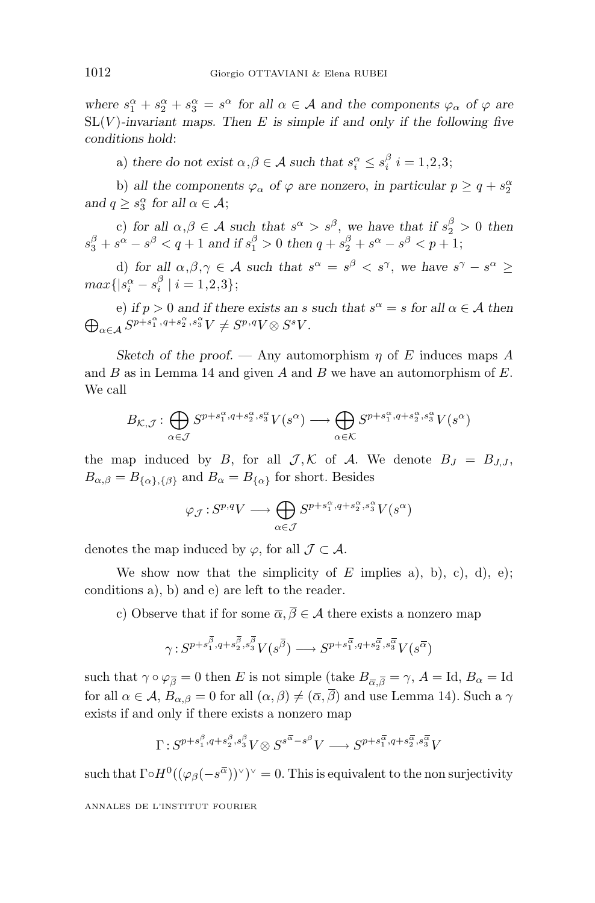*where*  $s_1^{\alpha} + s_2^{\alpha} + s_3^{\alpha} = s^{\alpha}$  *for all*  $\alpha \in \mathcal{A}$  *and the components*  $\varphi_{\alpha}$  *of*  $\varphi$  *are*  $SL(V)$ -invariant maps. Then *E* is simple if and only if the following five *conditions hold*:

a) *there do not exist*  $\alpha, \beta \in \mathcal{A}$  *such that*  $s_i^{\alpha} \leq s_i^{\beta}$  *i* = 1,2,3;

b) *all the components*  $\varphi_{\alpha}$  *of*  $\varphi$  *are nonzero, in particular*  $p \geq q + s^{\alpha}_2$ *and*  $q \geq s_3^{\alpha}$  *for all*  $\alpha \in \mathcal{A}$ ;

c) for all  $\alpha, \beta \in \mathcal{A}$  such that  $s^{\alpha} > s^{\beta}$ , we have that if  $s^{\beta}_2 > 0$  then  $s_3^{\beta} + s^{\alpha} - s^{\beta} < q + 1$  *and if*  $s_1^{\beta} > 0$  *then*  $q + s_2^{\beta} + s^{\alpha} - s^{\beta} < p + 1$ ;

d) for all  $\alpha, \beta, \gamma \in \mathcal{A}$  such that  $s^{\alpha} = s^{\beta} < s^{\gamma}$ , we have  $s^{\gamma} - s^{\alpha} \geq$  $max\{|s_i^{\alpha} - s_i^{\beta} | i = 1,2,3\};$ 

e) *if*  $p > 0$  *and if there exists an s such that*  $s^{\alpha} = s$  *for all*  $\alpha \in A$  *then*  $\bigoplus_{\alpha \in A} S^{p+s_1^{\alpha}, q+s_2^{\alpha}, s_3^{\alpha}} V \neq S^{p,q} V \otimes S^{s} V$ .  $\alpha \in \mathcal{A}$   $S^{p+s_1^{\alpha}, q+s_2^{\alpha}, s_3^{\alpha}} V \neq S^{p, q} V \otimes S^s V$ .

*Sketch of the proof.* — Any automorphism  $\eta$  of *E* induces maps *A* and *B* as in Lemma 14 and given *A* and *B* we have an automorphism of *E*. We call

$$
B_{\mathcal{K},\mathcal{J}}: \bigoplus_{\alpha \in \mathcal{J}} S^{p+s_1^\alpha,q+s_2^\alpha,s_3^\alpha}V(s^\alpha) \longrightarrow \bigoplus_{\alpha \in \mathcal{K}} S^{p+s_1^\alpha,q+s_2^\alpha,s_3^\alpha}V(s^\alpha)
$$

the map induced by *B*, for all  $\mathcal{J}, \mathcal{K}$  of *A*. We denote  $B_J = B_{J,J}$ ,  $B_{\alpha,\beta} = B_{\{\alpha\},\{\beta\}}$  and  $B_{\alpha} = B_{\{\alpha\}}$  for short. Besides

$$
\varphi_{\mathcal{J}} : S^{p,q}V \longrightarrow \bigoplus_{\alpha \in \mathcal{J}} S^{p+s_1^{\alpha},q+s_2^{\alpha},s_3^{\alpha}}V(s^{\alpha})
$$

denotes the map induced by  $\varphi$ , for all  $\mathcal{J} \subset \mathcal{A}$ .

We show now that the simplicity of  $E$  implies a), b), c), d), e); conditions a), b) and e) are left to the reader.

c) Observe that if for some  $\overline{\alpha}$ ,  $\overline{\beta} \in \mathcal{A}$  there exists a nonzero map

$$
\gamma: S^{p+s_1^{\overline{\beta}},q+s_2^{\overline{\beta}},s_3^{\overline{\beta}}}V(s^{\overline{\beta}}) \longrightarrow S^{p+s_1^{\overline{\alpha}},q+s_2^{\overline{\alpha}},s_3^{\overline{\alpha}}}V(s^{\overline{\alpha}})
$$

such that  $\gamma \circ \varphi_{\overline{\beta}} = 0$  then *E* is not simple (take  $B_{\overline{\alpha}, \overline{\beta}} = \gamma$ ,  $A = \text{Id}, B_{\alpha} = \text{Id}$ for all  $\alpha \in \mathcal{A}$ ,  $B_{\alpha,\beta} = 0$  for all  $(\alpha,\beta) \neq (\overline{\alpha},\overline{\beta})$  and use Lemma 14). Such a  $\gamma$ exists if and only if there exists a nonzero map

$$
\Gamma: S^{p+s_1^{\beta},q+s_2^{\beta},s_3^{\beta}}V \otimes S^{s^{\overline{\alpha}}-s^{\beta}}V \longrightarrow S^{p+s_1^{\overline{\alpha}},q+s_2^{\overline{\alpha}},s_3^{\overline{\alpha}}}V
$$

such that  $\Gamma \circ H^0((\varphi_\beta(-s^{\overline{\alpha}}))^{\vee})^{\vee} = 0$ . This is equivalent to the non surjectivity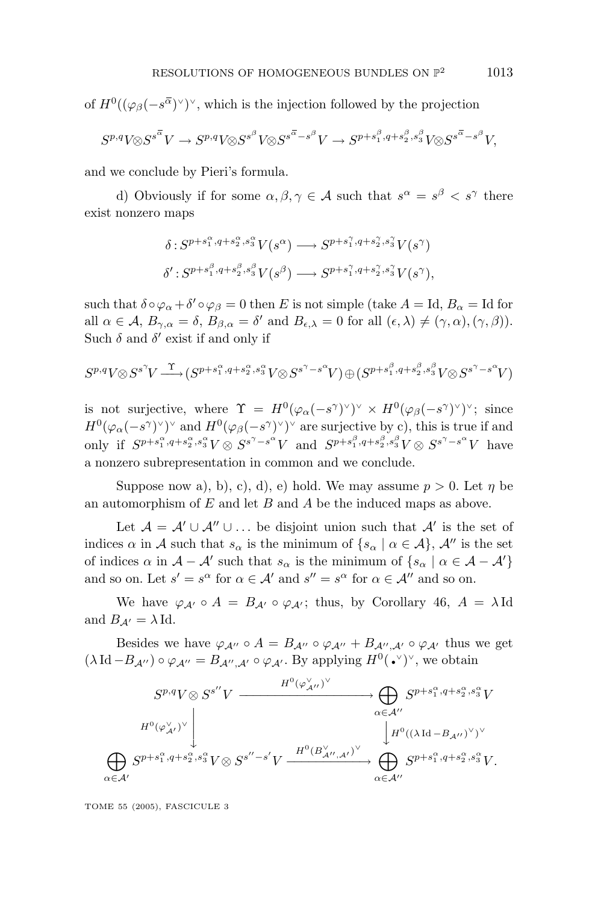of  $H^0((\varphi_\beta(-s^{\overline{\alpha}}))^{\vee})^{\vee}$ , which is the injection followed by the projection

$$
S^{p,q}V \otimes S^{s^{\overline{\alpha}}}V \to S^{p,q}V \otimes S^{s^{\beta}}V \otimes S^{s^{\overline{\alpha}} - s^{\beta}}V \to S^{p+s_1^{\beta}, q+s_2^{\beta}, s_3^{\beta}}V \otimes S^{s^{\overline{\alpha}} - s^{\beta}}V,
$$

and we conclude by Pieri's formula.

d) Obviously if for some  $\alpha, \beta, \gamma \in \mathcal{A}$  such that  $s^{\alpha} = s^{\beta} < s^{\gamma}$  there exist nonzero maps

$$
\delta: S^{p+s_1^{\alpha},q+s_2^{\alpha},s_3^{\alpha}}V(s^{\alpha}) \longrightarrow S^{p+s_1^{\gamma},q+s_2^{\gamma},s_3^{\gamma}}V(s^{\gamma})
$$
  

$$
\delta': S^{p+s_1^{\beta},q+s_2^{\beta},s_3^{\beta}}V(s^{\beta}) \longrightarrow S^{p+s_1^{\gamma},q+s_2^{\gamma},s_3^{\gamma}}V(s^{\gamma}),
$$

such that  $\delta \circ \varphi_\alpha + \delta' \circ \varphi_\beta = 0$  then *E* is not simple (take  $A = \text{Id}, B_\alpha = \text{Id}$  for all  $\alpha \in \mathcal{A}, B_{\gamma,\alpha} = \delta, B_{\beta,\alpha} = \delta'$  and  $B_{\epsilon,\lambda} = 0$  for all  $(\epsilon, \lambda) \neq (\gamma, \alpha), (\gamma, \beta)$ . Such  $\delta$  and  $\delta'$  exist if and only if

$$
S^{p,q}V \otimes S^{s^{\gamma}}V \stackrel{\Upsilon}{\longrightarrow} (S^{p+s_1^{\alpha}, q+s_2^{\alpha}, s_3^{\alpha}}V \otimes S^{s^{\gamma}-s^{\alpha}}V) \oplus (S^{p+s_1^{\beta}, q+s_2^{\beta}, s_3^{\beta}}V \otimes S^{s^{\gamma}-s^{\alpha}}V)
$$

is not surjective, where  $\Upsilon = H^0(\varphi_\alpha(-s^\gamma)^\vee)^\vee \times H^0(\varphi_\beta(-s^\gamma)^\vee)^\vee$ ; since  $H^0(\varphi_\alpha(-s^\gamma)^\vee)^\vee$  and  $H^0(\varphi_\beta(-s^\gamma)^\vee)^\vee$  are surjective by c), this is true if and only if  $S^{p+s_1^{\alpha},q+s_2^{\alpha},s_3^{\alpha}}V \otimes S^{s^{\gamma}-s^{\alpha}}V$  and  $S^{p+s_1^{\beta},q+s_2^{\beta},s_3^{\beta}}V \otimes S^{s^{\gamma}-s^{\alpha}}V$  have a nonzero subrepresentation in common and we conclude.

Suppose now a), b), c), d), e) hold. We may assume  $p > 0$ . Let  $\eta$  be an automorphism of *E* and let *B* and *A* be the induced maps as above.

Let  $\mathcal{A} = \mathcal{A}' \cup \mathcal{A}'' \cup ...$  be disjoint union such that  $\mathcal{A}'$  is the set of indices  $\alpha$  in A such that  $s_{\alpha}$  is the minimum of  $\{s_{\alpha} \mid \alpha \in A\}$ ,  $\mathcal{A}''$  is the set of indices  $\alpha$  in  $\mathcal{A} - \mathcal{A}'$  such that  $s_{\alpha}$  is the minimum of  $\{s_{\alpha} \mid \alpha \in \mathcal{A} - \mathcal{A}'\}$ and so on. Let  $s' = s^{\alpha}$  for  $\alpha \in A'$  and  $s'' = s^{\alpha}$  for  $\alpha \in A''$  and so on.

We have  $\varphi_{A'} \circ A = B_{A'} \circ \varphi_{A'}$ ; thus, by Corollary 46,  $A = \lambda \text{Id}$ and  $B_{A'} = \lambda \operatorname{Id}$ .

Besides we have  $\varphi_{A''} \circ A = B_{A''} \circ \varphi_{A''} + B_{A'',A'} \circ \varphi_{A'}$  thus we get  $(\lambda \text{ Id } -B_{\mathcal{A}''}) \circ \varphi_{\mathcal{A}''} = B_{\mathcal{A}'',\mathcal{A}'} \circ \varphi_{\mathcal{A}'}$ . By applying  $H^0(\bullet^{\vee})^{\vee}$ , we obtain

$$
\bigoplus_{\alpha \in \mathcal{A}'} S^{p,q} V \otimes S^{s''} V \xrightarrow{\qquad H^0(\varphi_{\mathcal{A}''}^{\vee})^{\vee}} \bigoplus_{\alpha \in \mathcal{A}''} S^{p+s_1^{\alpha}, q+s_2^{\alpha}, s_3^{\alpha}} V
$$
  

$$
\bigoplus_{\alpha \in \mathcal{A}'} S^{p+s_1^{\alpha}, q+s_2^{\alpha}, s_3^{\alpha}} V \otimes S^{s''-s'} V \xrightarrow{\qquad H^0(B_{\mathcal{A}'', \mathcal{A}'}^{\vee})^{\vee}} \bigoplus_{\alpha \in \mathcal{A}''} S^{p+s_1^{\alpha}, q+s_2^{\alpha}, s_3^{\alpha}} V.
$$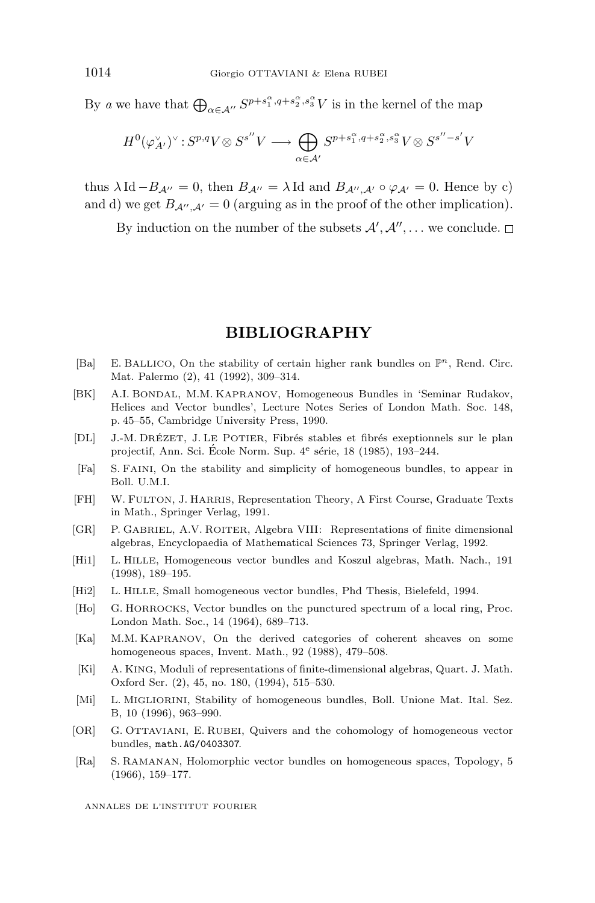By *a* we have that  $\bigoplus_{\alpha \in A''} S^{p+s_1^{\alpha}, q+s_2^{\alpha}, s_3^{\alpha}} V$  is in the kernel of the map

$$
H^{0}(\varphi_{A'}^{\vee})^{\vee} : S^{p,q}V \otimes S^{s''}V \longrightarrow \bigoplus_{\alpha \in \mathcal{A}'} S^{p+s_1^{\alpha},q+s_2^{\alpha},s_3^{\alpha}}V \otimes S^{s''-s'}V
$$

thus  $\lambda \text{Id} - B_{A''} = 0$ , then  $B_{A''} = \lambda \text{Id}$  and  $B_{A'',A'} \circ \varphi_{A'} = 0$ . Hence by c) and d) we get  $B_{A'',A'} = 0$  (arguing as in the proof of the other implication).

By induction on the number of the subsets  $\mathcal{A}', \mathcal{A}'', \dots$  we conclude.

#### **BIBLIOGRAPHY**

- [Ba] E. BALLICO, On the stability of certain higher rank bundles on  $\mathbb{P}^n$ , Rend. Circ. Mat. Palermo (2), 41 (1992), 309–314.
- [BK] A.I. BONDAL, M.M. KAPRANOV, Homogeneous Bundles in 'Seminar Rudakov, Helices and Vector bundles', Lecture Notes Series of London Math. Soc. 148, p. 45–55, Cambridge University Press, 1990.
- [DL] J.-M. DRÉZET, J. LE POTIER, Fibrés stables et fibrés exeptionnels sur le plan projectif, Ann. Sci. École Norm. Sup.  $4^e$  série, 18 (1985), 193–244.
- [Fa] S. FAINI, On the stability and simplicity of homogeneous bundles, to appear in Boll. U.M.I.
- [FH] W. FULTON, J. HARRIS, Representation Theory, A First Course, Graduate Texts in Math., Springer Verlag, 1991.
- [GR] P. GABRIEL, A.V. ROITER, Algebra VIII: Representations of finite dimensional algebras, Encyclopaedia of Mathematical Sciences 73, Springer Verlag, 1992.
- [Hi1] L. HILLE, Homogeneous vector bundles and Koszul algebras, Math. Nach., 191 (1998), 189–195.
- [Hi2] L. HILLE, Small homogeneous vector bundles, Phd Thesis, Bielefeld, 1994.
- [Ho] G. HORROCKS, Vector bundles on the punctured spectrum of alocal ring, Proc. London Math. Soc., 14 (1964), 689–713.
- [Ka] M.M. KAPRANOV, On the derived categories of coherent sheaves on some homogeneous spaces, Invent. Math., 92 (1988), 479–508.
- [Ki] A. KING, Moduli of representations of finite-dimensional algebras, Quart. J. Math. Oxford Ser. (2), 45, no. 180, (1994), 515–530.
- [Mi] L. MIGLIORINI, Stability of homogeneous bundles, Boll. Unione Mat. Ital. Sez. B, 10 (1996), 963–990.
- [OR] G. OTTAVIANI, E. RUBEI, Quivers and the cohomology of homogeneous vector bundles, math.AG/0403307.
- [Ra] S. RAMANAN, Holomorphic vector bundles on homogeneous spaces, Topology, 5 (1966), 159–177.